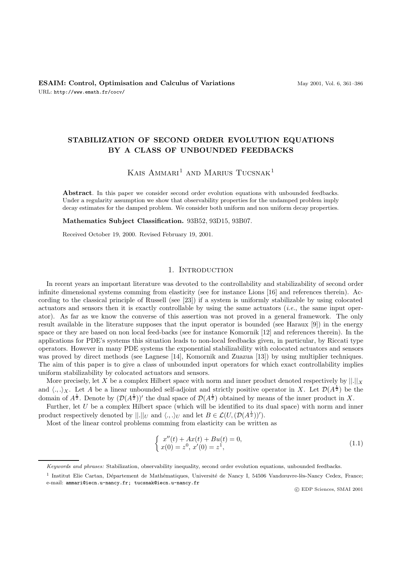# **STABILIZATION OF SECOND ORDER EVOLUTION EQUATIONS BY A CLASS OF UNBOUNDED FEEDBACKS**

KAIS AMMARI<sup>1</sup> AND MARIUS TUCSNAK<sup>1</sup>

**Abstract**. In this paper we consider second order evolution equations with unbounded feedbacks. Under a regularity assumption we show that observability properties for the undamped problem imply decay estimates for the damped problem. We consider both uniform and non uniform decay properties.

**Mathematics Subject Classification.** 93B52, 93D15, 93B07.

Received October 19, 2000. Revised February 19, 2001.

#### 1. INTRODUCTION

In recent years an important literature was devoted to the controllability and stabilizability of second order infinite dimensional systems comming from elasticity (see for instance Lions [16] and references therein). According to the classical principle of Russell (see [23]) if a system is uniformly stabilizable by using colocated actuators and sensors then it is exactly controllable by using the same actuators (*i.e.*, the same input operator). As far as we know the converse of this assertion was not proved in a general framework. The only result available in the literature supposes that the input operator is bounded (see Haraux [9]) in the energy space or they are based on non local feed-backs (see for instance Komornik [12] and references therein). In the applications for PDE's systems this situation leads to non-local feedbacks given, in particular, by Riccati type operators. However in many PDE systems the exponential stabilizability with colocated actuators and sensors was proved by direct methods (see Lagnese [14], Komornik and Zuazua [13]) by using multiplier techniques. The aim of this paper is to give a class of unbounded input operators for which exact controllability implies uniform stabilizability by colocated actuators and sensors.

More precisely, let X be a complex Hilbert space with norm and inner product denoted respectively by  $\lfloor ||x|| \rfloor$ and  $\langle .,.\rangle_X$ . Let A be a linear unbounded self-adjoint and strictly positive operator in X. Let  $\mathcal{D}(A^{\frac{1}{2}})$  be the domain of  $A^{\frac{1}{2}}$ . Denote by  $(\mathcal{D}(A^{\frac{1}{2}}))'$  the dual space of  $\mathcal{D}(A^{\frac{1}{2}})$  obtained by means of the inner product in X.

Further, let U be a complex Hilbert space (which will be identified to its dual space) with norm and inner product respectively denoted by  $||.||_U$  and  $\langle .,.\rangle_U$  and let  $B \in \mathcal{L}(U,(\mathcal{D}(A^{\frac{1}{2}}))')$ .

Most of the linear control problems comming from elasticity can be written as

$$
\begin{cases}\n x''(t) + Ax(t) + Bu(t) = 0, \\
 x(0) = z^0, x'(0) = z^1,\n\end{cases}
$$
\n(1.1)

c EDP Sciences, SMAI 2001

Keywords and phrases: Stabilization, observability inequality, second order evolution equations, unbounded feedbacks.

 $1$  Institut Elie Cartan, Département de Mathématiques, Université de Nancy I, 54506 Vandœuvre-lès-Nancy Cedex, France; e-mail: ammari@iecn.u-nancy.fr; tucsnak@iecn.u-nancy.fr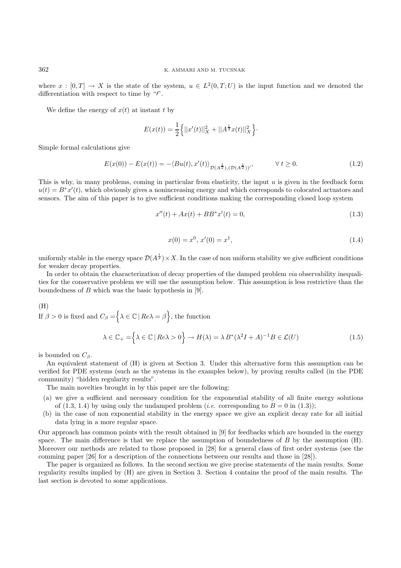where  $x : [0, T] \to X$  is the state of the system,  $u \in L^2(0, T; U)$  is the input function and we denoted the differentiation with respect to time by  $\lq\lq r$ .

We define the energy of  $x(t)$  at instant t by

$$
E(x(t)) = \frac{1}{2} \left\{ ||x'(t)||_X^2 + ||A^{\frac{1}{2}}x(t)||_X^2 \right\}.
$$

Simple formal calculations give

$$
E(x(0)) - E(x(t)) = -\langle Bu(t), x'(t) \rangle_{\mathcal{D}(A^{\frac{1}{2}}), (\mathcal{D}(A^{\frac{1}{2}}))^{\prime}}, \qquad \forall \ t \ge 0.
$$
 (1.2)

This is why, in many problems, coming in particular from elasticity, the input  $u$  is given in the feedback form  $u(t) = B^*x'(t)$ , which obviously gives a nonincreasing energy and which corresponds to colocated actuators and sensors. The aim of this paper is to give sufficient conditions making the corresponding closed loop system

$$
x''(t) + Ax(t) + BB^*x'(t) = 0,\t(1.3)
$$

$$
x(0) = x^0, x'(0) = x^1,
$$
\n(1.4)

uniformly stable in the energy space  $\mathcal{D}(A^{\frac{1}{2}}) \times X$ . In the case of non uniform stability we give sufficient conditions for weaker decay properties.

In order to obtain the characterization of decay properties of the damped problem *via* observability inequalities for the conservative problem we will use the assumption below. This assumption is less restrictive than the boundedness of  $B$  which was the basic hypothesis in [9].

#### (H)

If  $\beta > 0$  is fixed and  $C_{\beta} = \bigg\{\lambda \in \mathbb{C} \mid Re\lambda = \beta \bigg\}$ , the function

$$
\lambda \in \mathbb{C}_{+} = \left\{ \lambda \in \mathbb{C} \mid Re \lambda > 0 \right\} \to H(\lambda) = \lambda B^* (\lambda^2 I + A)^{-1} B \in \mathcal{L}(U)
$$
\n(1.5)

is bounded on  $C_\beta$ .

An equivalent statement of (H) is given at Section 3. Under this alternative form this assumption can be verified for PDE systems (such as the systems in the examples below), by proving results called (in the PDE community) "hidden regularity results".

The main novelties brought in by this paper are the following:

- (a) we give a sufficient and necessary condition for the exponential stability of all finite energy solutions of  $(1.3, 1.4)$  by using only the undamped problem (*i.e.* corresponding to  $B = 0$  in (1.3));
- (b) in the case of non exponential stability in the energy space we give an explicit decay rate for all initial data lying in a more regular space.

Our approach has common points with the result obtained in [9] for feedbacks which are bounded in the energy space. The main difference is that we replace the assumption of boundedness of  $B$  by the assumption  $(H)$ . Moreover our methods are related to those proposed in [28] for a general class of first order systems (see the comming paper [26] for a description of the connections between our results and those in [28]).

The paper is organized as follows. In the second section we give precise statements of the main results. Some regularity results implied by (H) are given in Section 3. Section 4 contains the proof of the main results. The last section is devoted to some applications.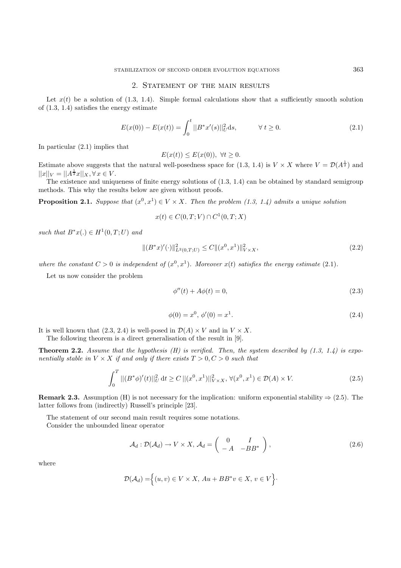#### 2. STATEMENT OF THE MAIN RESULTS

Let  $x(t)$  be a solution of (1.3, 1.4). Simple formal calculations show that a sufficiently smooth solution of (1.3, 1.4) satisfies the energy estimate

$$
E(x(0)) - E(x(t)) = \int_0^t ||B^*x'(s)||_U^2 ds, \qquad \forall t \ge 0.
$$
 (2.1)

In particular (2.1) implies that

$$
E(x(t)) \le E(x(0)), \ \forall t \ge 0.
$$

Estimate above suggests that the natural well-posedness space for  $(1.3, 1.4)$  is  $V \times X$  where  $V = \mathcal{D}(A^{\frac{1}{2}})$  and  $||x||_V = ||A^{\frac{1}{2}}x||_X, \forall x \in V.$ 

The existence and uniqueness of finite energy solutions of (1.3, 1.4) can be obtained by standard semigroup methods. This why the results below are given without proofs.

**Proposition 2.1.** Suppose that  $(x^0, x^1) \in V \times X$ . Then the problem (1.3, 1.4) admits a unique solution

$$
x(t) \in C(0,T;V) \cap C^1(0,T;X)
$$

such that  $B^*x(.) \in H^1(0,T;U)$  and

$$
\|(B^*x)'(\cdot)\|_{L^2(0,T;U)}^2 \le C \|(x^0, x^1)\|_{V \times X}^2,\tag{2.2}
$$

where the constant  $C > 0$  is independent of  $(x^0, x^1)$ . Moreover  $x(t)$  satisfies the energy estimate (2.1).

Let us now consider the problem

$$
\phi''(t) + A\phi(t) = 0,\tag{2.3}
$$

$$
\phi(0) = x^0, \, \phi'(0) = x^1. \tag{2.4}
$$

It is well known that  $(2.3, 2.4)$  is well-posed in  $\mathcal{D}(A) \times V$  and in  $V \times X$ .

The following theorem is a direct generalisation of the result in [9].

**Theorem 2.2.** Assume that the hypothesis  $(H)$  is verified. Then, the system described by  $(1.3, 1.4)$  is exponentially stable in  $V \times X$  if and only if there exists  $T > 0, C > 0$  such that

$$
\int_0^T ||(B^*\phi)'(t)||_U^2 dt \ge C ||(x^0, x^1)||_{V \times X}^2, \forall (x^0, x^1) \in \mathcal{D}(A) \times V.
$$
 (2.5)

**Remark 2.3.** Assumption (H) is not necessary for the implication: uniform exponential stability  $\Rightarrow$  (2.5). The latter follows from (indirectly) Russell's principle [23].

The statement of our second main result requires some notations.

Consider the unbounded linear operator

$$
\mathcal{A}_d: \mathcal{D}(\mathcal{A}_d) \to V \times X, \, \mathcal{A}_d = \left( \begin{array}{cc} 0 & I \\ -A & -BB^* \end{array} \right), \tag{2.6}
$$

where

$$
\mathcal{D}(\mathcal{A}_d) = \Big\{(u,v) \in V \times X, \, Au + BB^*v \in X, \, v \in V\Big\}.
$$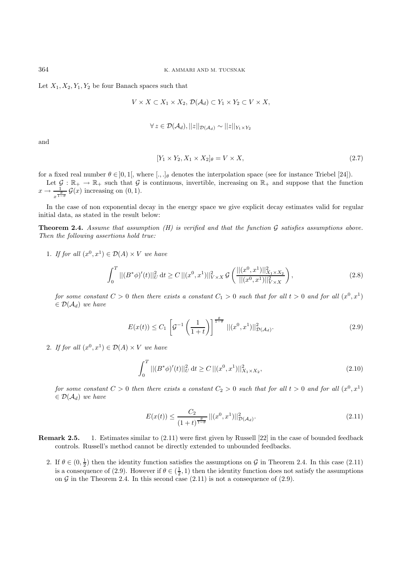Let  $X_1, X_2, Y_1, Y_2$  be four Banach spaces such that

$$
V \times X \subset X_1 \times X_2, \, \mathcal{D}(\mathcal{A}_d) \subset Y_1 \times Y_2 \subset V \times X,
$$

$$
\forall z \in \mathcal{D}(\mathcal{A}_d), ||z||_{\mathcal{D}(\mathcal{A}_d)} \sim ||z||_{Y_1 \times Y_2}
$$

and

$$
[Y_1 \times Y_2, X_1 \times X_2]_{\theta} = V \times X,\tag{2.7}
$$

for a fixed real number  $\theta \in ]0,1[$ , where  $[.,.]_{\theta}$  denotes the interpolation space (see for instance Triebel [24]).

Let  $\mathcal{G}: \mathbb{R}_+ \to \mathbb{R}_+$  such that  $\mathcal{G}$  is continuous, invertible, increasing on  $\mathbb{R}_+$  and suppose that the function  $x \to \frac{1}{x^{\frac{\theta}{1-\theta}}} \mathcal{G}(x)$  increasing on  $(0, 1)$ .

In the case of non exponential decay in the energy space we give explicit decay estimates valid for regular initial data, as stated in the result below:

**Theorem 2.4.** Assume that assumption  $(H)$  is verified and that the function  $G$  satisfies assumptions above. Then the following assertions hold true:

1. If for all  $(x^0, x^1) \in \mathcal{D}(A) \times V$  we have

$$
\int_0^T ||(B^*\phi)'(t)||_U^2 dt \ge C ||(x^0, x^1)||_{V \times X}^2 \mathcal{G}\left(\frac{||(x^0, x^1)||_{X_1 \times X_2}^2}{||(x^0, x^1)||_{V \times X}^2}\right),
$$
\n(2.8)

for some constant  $C > 0$  then there exists a constant  $C_1 > 0$  such that for all  $t > 0$  and for all  $(x^0, x^1)$  $\in \mathcal{D}(\mathcal{A}_d)$  we have

$$
E(x(t)) \le C_1 \left[ \mathcal{G}^{-1} \left( \frac{1}{1+t} \right) \right]^{\frac{\theta}{1-\theta}} ||(x^0, x^1)||^2_{\mathcal{D}(\mathcal{A}_d)}.
$$
 (2.9)

2. If for all  $(x^0, x^1) \in \mathcal{D}(A) \times V$  we have

$$
\int_{0}^{T}||(B^*\phi)'(t)||_{U}^{2}dt \ge C||(x^0, x^1)||_{X_1 \times X_2}^{2},
$$
\n(2.10)

for some constant  $C > 0$  then there exists a constant  $C_2 > 0$  such that for all  $t > 0$  and for all  $(x^0, x^1)$  $\in \mathcal{D}(\mathcal{A}_d)$  we have

$$
E(x(t)) \le \frac{C_2}{(1+t)^{\frac{\theta}{1-\theta}}} \left| |(x^0, x^1)| \right|_{\mathcal{D}(\mathcal{A}_d)}^2. \tag{2.11}
$$

**Remark 2.5.** 1. Estimates similar to (2.11) were first given by Russell [22] in the case of bounded feedback controls. Russell's method cannot be directly extended to unbounded feedbacks.

2. If  $\theta \in (0, \frac{1}{2})$  then the identity function satisfies the assumptions on G in Theorem 2.4. In this case (2.11) is a consequence of (2.9). However if  $\theta \in (\frac{1}{2}, 1)$  then the identity function does not satisfy the assumptions on G in the Theorem 2.4. In this second case  $(2.11)$  is not a consequence of  $(2.9)$ .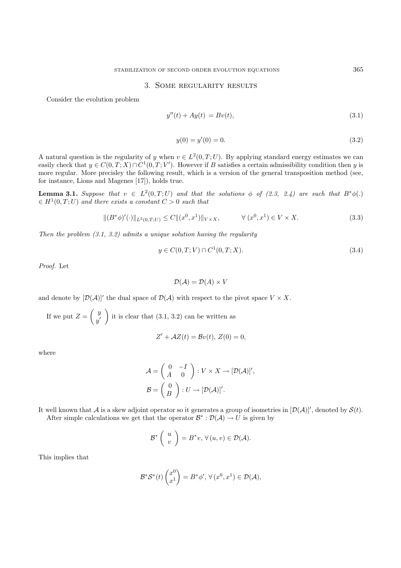#### 3. Some regularity results

Consider the evolution problem

$$
y''(t) + Ay(t) = Bv(t),
$$
\n(3.1)

$$
y(0) = y'(0) = 0.\t\t(3.2)
$$

A natural question is the regularity of y when  $v \in L^2(0,T;U)$ . By applying standard energy estimates we can easily check that  $y \in C(0,T;X) \cap C^1(0,T;V')$ . However if B satisfies a certain admissibility condition then y is more regular. More precisley the following result, which is a version of the general transposition method (see, for instance, Lions and Magenes [17]), holds true.

**Lemma 3.1.** Suppose that  $v \in L^2(0,T;U)$  and that the solutions  $\phi$  of (2.3, 2.4) are such that  $B^*\phi(.)$  $\in H^1(0,T;U)$  and there exists a constant  $C > 0$  such that

$$
\|(B^*\phi)'(\cdot)\|_{L^2(0,T;U)} \le C \|(x^0, x^1)\|_{V \times X}, \qquad \forall (x^0, x^1) \in V \times X. \tag{3.3}
$$

Then the problem  $(3.1, 3.2)$  admits a unique solution having the regularity

$$
y \in C(0, T; V) \cap C^{1}(0, T; X). \tag{3.4}
$$

Proof. Let

$$
\mathcal{D}(\mathcal{A}) = \mathcal{D}(A) \times V
$$

and denote by  $[\mathcal{D}(\mathcal{A})]'$  the dual space of  $\mathcal{D}(\mathcal{A})$  with respect to the pivot space  $V \times X$ .

If we put  $Z = \begin{pmatrix} y \\ y \end{pmatrix}$  $y^{\prime}$ it is clear that  $(3.1, 3.2)$  can be written as

$$
Z' + \mathcal{A}Z(t) = \mathcal{B}v(t), Z(0) = 0,
$$

where

$$
\mathcal{A} = \begin{pmatrix} 0 & -I \\ A & 0 \end{pmatrix} : V \times X \to [\mathcal{D}(\mathcal{A})]',
$$

$$
\mathcal{B} = \begin{pmatrix} 0 \\ B \end{pmatrix} : U \to [\mathcal{D}(\mathcal{A})]',
$$

It well known that A is a skew adjoint operator so it generates a group of isometries in  $[\mathcal{D}(\mathcal{A})]'$ , denoted by  $\mathcal{S}(t)$ . After simple calculations we get that the operator  $\mathcal{B}^* : \mathcal{D}(\mathcal{A}) \to U$  is given by

$$
\mathcal{B}^* \left( \begin{array}{c} u \\ v \end{array} \right) = B^* v, \, \forall \, (u, v) \in \mathcal{D}(\mathcal{A}).
$$

This implies that

$$
\mathcal{B}^*\mathcal{S}^*(t) \begin{pmatrix} x^0 \\ x^1 \end{pmatrix} = B^*\phi', \,\forall \, (x^0, x^1) \in \mathcal{D}(\mathcal{A}),
$$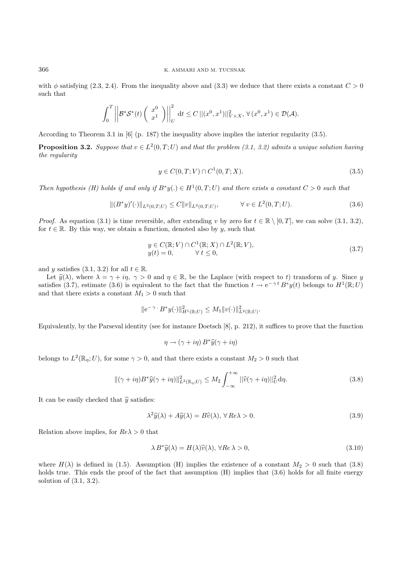with  $\phi$  satisfying (2.3, 2.4). From the inequality above and (3.3) we deduce that there exists a constant  $C > 0$ such that

$$
\int_0^T \left| \left| \mathcal{B}^* \mathcal{S}^*(t) \left( \begin{array}{c} x^0 \\ x^1 \end{array} \right) \right| \right|_U^2 dt \leq C \left| \left| (x^0, x^1) \right| \right|_{V \times X}^2, \forall (x^0, x^1) \in \mathcal{D}(\mathcal{A}).
$$

According to Theorem 3.1 in [6] (p. 187) the inequality above implies the interior regularity (3.5).

**Proposition 3.2.** Suppose that  $v \in L^2(0,T;U)$  and that the problem (3.1, 3.2) admits a unique solution having the regularity

$$
y \in C(0, T; V) \cap C^{1}(0, T; X). \tag{3.5}
$$

Then hypothesis (H) holds if and only if  $B^*y(.) \in H^1(0,T;U)$  and there exists a constant  $C > 0$  such that

$$
\|(B^*y)'(\cdot)\|_{L^2(0,T;U)} \le C \|v\|_{L^2(0,T;U)}, \qquad \forall \, v \in L^2(0,T;U). \tag{3.6}
$$

*Proof.* As equation (3.1) is time reversible, after extending v by zero for  $t \in \mathbb{R} \setminus [0,T]$ , we can solve (3.1, 3.2), for  $t \in \mathbb{R}$ . By this way, we obtain a function, denoted also by y, such that

$$
y \in C(\mathbb{R}; V) \cap C^{1}(\mathbb{R}; X) \cap L^{2}(\mathbb{R}; V),
$$
  
\n
$$
y(t) = 0, \qquad \forall t \le 0,
$$
\n(3.7)

and y satisfies (3.1, 3.2) for all  $t \in \mathbb{R}$ .

Let  $\hat{y}(\lambda)$ , where  $\lambda = \gamma + i\eta$ ,  $\gamma > 0$  and  $\eta \in \mathbb{R}$ , be the Laplace (with respect to t) transform of y. Since y satisfies (3.7), estimate (3.6) is equivalent to the fact that the function  $t \to e^{-\gamma t} B^* y(t)$  belongs to  $H^1(\mathbb{R};U)$ and that there exists a constant  $M_1 > 0$  such that

$$
\|e^{-\gamma} \cdot B^* y(\cdot)\|_{H^1(\mathbb{R};U)}^2 \le M_1 \|v(\cdot)\|_{L^2(\mathbb{R};U)}^2.
$$

Equivalently, by the Parseval identity (see for instance Doetsch [8], p. 212), it suffices to prove that the function

$$
\eta \to (\gamma + i\eta) B^* \widehat{y}(\gamma + i\eta)
$$

belongs to  $L^2(\mathbb{R}_n;U)$ , for some  $\gamma > 0$ , and that there exists a constant  $M_2 > 0$  such that

$$
\|(\gamma+i\eta)B^*\widehat{y}(\gamma+i\eta)\|_{L^2(\mathbb{R}_\eta;U)}^2 \le M_2 \int_{-\infty}^{+\infty} ||\widehat{v}(\gamma+i\eta)||_U^2 d\eta. \tag{3.8}
$$

It can be easily checked that  $\hat{y}$  satisfies:

$$
\lambda^2 \widehat{y}(\lambda) + A\widehat{y}(\lambda) = B\widehat{v}(\lambda), \,\forall \, Re \lambda > 0. \tag{3.9}
$$

Relation above implies, for  $Re\lambda > 0$  that

$$
\lambda B^*\hat{y}(\lambda) = H(\lambda)\hat{v}(\lambda), \,\forall Re \,\lambda > 0,\tag{3.10}
$$

where  $H(\lambda)$  is defined in (1.5). Assumption (H) implies the existence of a constant  $M_2 > 0$  such that (3.8) holds true. This ends the proof of the fact that assumption (H) implies that  $(3.6)$  holds for all finite energy solution of (3.1, 3.2).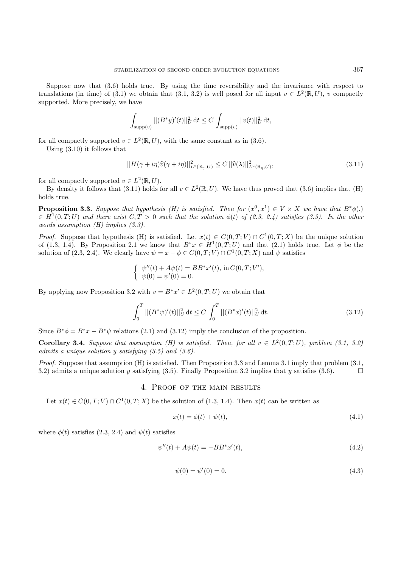Suppose now that (3.6) holds true. By using the time reversibility and the invariance with respect to translations (in time) of (3.1) we obtain that (3.1, 3.2) is well posed for all input  $v \in L^2(\mathbb{R}, U)$ , v compactly supported. More precisely, we have

$$
\int_{\text{supp}(v)} ||(B^*y)'(t)||_U^2 dt \le C \int_{\text{supp}(v)} ||v(t)||_U^2 dt,
$$

for all compactly supported  $v \in L^2(\mathbb{R}, U)$ , with the same constant as in (3.6).

Using (3.10) it follows that

$$
||H(\gamma + i\eta)\widehat{v}(\gamma + i\eta)||_{L^2(\mathbb{R}_\eta, U)}^2 \le C ||\widehat{v}(\lambda)||_{L^2(\mathbb{R}_\eta, U)}^2,
$$
\n(3.11)

for all compactly supported  $v \in L^2(\mathbb{R}, U)$ .

By density it follows that (3.11) holds for all  $v \in L^2(\mathbb{R}, U)$ . We have thus proved that (3.6) implies that (H) holds true.

**Proposition 3.3.** Suppose that hypothesis (H) is satisfied. Then for  $(x^0, x^1) \in V \times X$  we have that  $B^*\phi(.)$  $\in H^1(0,T;U)$  and there exist  $C,T > 0$  such that the solution  $\phi(t)$  of (2.3, 2.4) satisfies (3.3). In the other words assumption (H) implies (3.3).

*Proof.* Suppose that hypothesis (H) is satisfied. Let  $x(t) \in C(0,T;V) \cap C^1(0,T;X)$  be the unique solution of (1.3, 1.4). By Proposition 2.1 we know that  $B^*x \in H^1(0,T;U)$  and that (2.1) holds true. Let  $\phi$  be the solution of (2.3, 2.4). We clearly have  $\psi = x - \phi \in C(0,T;V) \cap C^1(0,T;X)$  and  $\psi$  satisfies

$$
\begin{cases} \psi''(t) + A\psi(t) = BB^*x'(t), \text{ in } C(0, T; V'),\\ \psi(0) = \psi'(0) = 0. \end{cases}
$$

By applying now Proposition 3.2 with  $v = B^*x' \in L^2(0,T;U)$  we obtain that

$$
\int_0^T ||(B^*\psi)'(t)||_U^2 dt \le C \int_0^T ||(B^*x)'(t)||_U^2 dt.
$$
\n(3.12)

Since  $B^*\phi = B^*x - B^*\psi$  relations (2.1) and (3.12) imply the conclusion of the proposition.

**Corollary 3.4.** Suppose that assumption (H) is satisfied. Then, for all  $v \in L^2(0,T;U)$ , problem (3.1, 3.2) admits a unique solution y satisfying  $(3.5)$  and  $(3.6)$ .

*Proof.* Suppose that assumption  $(H)$  is satisfied. Then Proposition 3.3 and Lemma 3.1 imply that problem  $(3.1,$ 3.2) admits a unique solution y satisfying (3.5). Finally Proposition 3.2 implies that y satisfies (3.6).

# 4. Proof of the main results

Let  $x(t) \in C(0,T;V) \cap C^1(0,T;X)$  be the solution of (1.3, 1.4). Then  $x(t)$  can be written as

$$
x(t) = \phi(t) + \psi(t),\tag{4.1}
$$

where  $\phi(t)$  satisfies (2.3, 2.4) and  $\psi(t)$  satisfies

$$
\psi''(t) + A\psi(t) = -BB^*x'(t),\tag{4.2}
$$

$$
\psi(0) = \psi'(0) = 0. \tag{4.3}
$$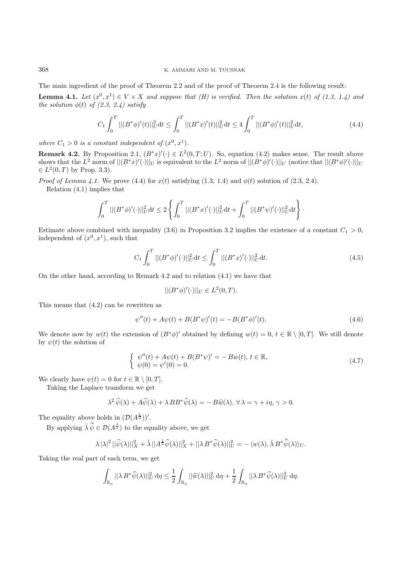The main ingredient of the proof of Theorem 2.2 and of the proof of Theorem 2.4 is the following result:

**Lemma 4.1.** Let  $(x^0, x^1) \in V \times X$  and suppose that (H) is verified. Then the solution  $x(t)$  of (1.3, 1.4) and the solution  $\phi(t)$  of (2.3, 2.4) satisfy

$$
C_1 \int_0^T ||(B^*\phi)'(t)||_U^2 dt \le \int_0^T ||(B^*x)'(t)||_U^2 dt \le 4 \int_0^T ||(B^*\phi)'(t)||_U^2 dt,
$$
\n(4.4)

where  $C_1 > 0$  is a constant independent of  $(x^0, x^1)$ .

**Remark 4.2.** By Proposition 2.1,  $(B^*x)'(\cdot) \in L^2(0,T;U)$ . So, equation (4.2) makes sense. The result above shows that the  $L^2$  norm of  $||(B^*x)'(\cdot)||_U$  is equivalent to the  $L^2$  norm of  $||(B^*\phi)'(\cdot)||_U$  (notice that  $||(B^*\phi)'(\cdot)||_U$  $\in L^2(0,T)$  by Prop. 3.3).

*Proof of Lemma 4.1.* We prove (4.4) for  $x(t)$  satisfying (1.3, 1.4) and  $\phi(t)$  solution of (2.3, 2.4).

Relation (4.1) implies that

$$
\int_0^T ||(B^*\phi)'(\cdot)||_U^2 dt \le 2 \left\{ \int_0^T ||(B^*x)'(\cdot)||_U^2 dt + \int_0^T ||(B^*\psi)'(\cdot)||_U^2 dt \right\}.
$$

Estimate above combined with inequality (3.6) in Proposition 3.2 implies the existence of a constant  $C_1 > 0$ , independent of  $(x^0, x^1)$ , such that

$$
C_1 \int_0^T ||(B^*\phi)'(\cdot)||_U^2 dt \le \int_0^T ||(B^*x)'(\cdot)||_U^2 dt. \tag{4.5}
$$

On the other hand, according to Remark 4.2 and to relation (4.1) we have that

$$
||(B^*\phi)'(\cdot)||_U \in L^2(0,T).
$$

This means that (4.2) can be rewritten as

$$
\psi''(t) + A\psi(t) + B(B^*\psi)'(t) = -B(B^*\phi)'(t). \tag{4.6}
$$

We denote now by  $w(t)$  the extension of  $(B^*\phi)'$  obtained by defining  $w(t)=0, t \in \mathbb{R} \setminus [0,T]$ . We still denote by  $\psi(t)$  the solution of

$$
\begin{cases}\n\psi''(t) + A\psi(t) + B(B^*\psi)' = -Bw(t), \, t \in \mathbb{R}, \\
\psi(0) = \psi'(0) = 0.\n\end{cases}
$$
\n(4.7)

We clearly have  $\psi(t) = 0$  for  $t \in \mathbb{R} \setminus [0, T]$ .

Taking the Laplace transform we get

$$
\lambda^2 \,\widehat{\psi}(\lambda) + A\widehat{\psi}(\lambda) + \lambda \, BB^* \widehat{\psi}(\lambda) = -B\widehat{w}(\lambda), \,\forall \,\lambda = \gamma + i\eta, \,\gamma > 0.
$$

The equality above holds in  $(\mathcal{D}(A^{\frac{1}{2}}))'$ .

By applying  $\bar{\lambda} \,\bar{\widehat{\psi}} \in \mathcal{D}(A^{\frac{1}{2}})$  to the equality above, we get

$$
\lambda\,|\lambda|^2\,||\widehat\psi(\lambda)||_X^2+\bar\lambda\,||A^{\frac{1}{2}}\widehat\psi(\lambda)||_X^2+||\lambda\,B^*\widehat\psi(\lambda)||_U^2=-\,\langle w(\lambda),\bar\lambda\,B^*\bar{\widehat\psi}(\lambda)\rangle_U.
$$

Taking the real part of each term, we get

$$
\int_{\mathbb{R}_{\eta}} ||\lambda B^* \widehat{\psi}(\lambda)||_{U}^{2} d\eta \leq \frac{1}{2} \int_{\mathbb{R}_{\eta}} ||\widehat{w}(\lambda)||_{U}^{2} d\eta + \frac{1}{2} \int_{\mathbb{R}_{\eta}} ||\lambda B^* \widehat{\psi}(\lambda)||_{U}^{2} d\eta.
$$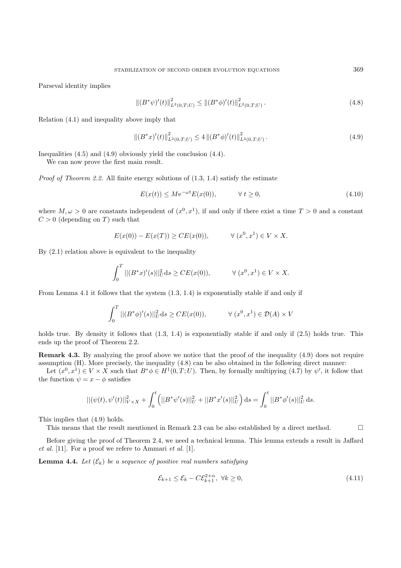Parseval identity implies

$$
\left\| (B^*\psi)'(t) \right\|_{L^2(0,T;U)}^2 \le \left\| (B^*\phi)'(t) \right\|_{L^2(0,T;U)}^2.
$$
\n(4.8)

Relation (4.1) and inequality above imply that

$$
\left\| (B^*x)'(t) \right\|_{L^2(0,T;U)}^2 \le 4 \left\| (B^*\phi)'(t) \right\|_{L^2(0,T;U)}^2. \tag{4.9}
$$

Inequalities (4.5) and (4.9) obviously yield the conclusion (4.4).

We can now prove the first main result.

*Proof of Theorem 2.2.* All finite energy solutions of  $(1.3, 1.4)$  satisfy the estimate

$$
E(x(t)) \le Me^{-\omega t} E(x(0)), \qquad \forall t \ge 0,
$$
\n(4.10)

where  $M, \omega > 0$  are constants independent of  $(x^0, x^1)$ , if and only if there exist a time  $T > 0$  and a constant  $C > 0$  (depending on T) such that

$$
E(x(0)) - E(x(T)) \ge CE(x(0)), \qquad \forall (x^0, x^1) \in V \times X.
$$

By (2.1) relation above is equivalent to the inequality

$$
\int_0^T ||(B^*x)'(s)||_U^2 ds \ge CE(x(0)), \qquad \forall (x^0, x^1) \in V \times X.
$$

From Lemma 4.1 it follows that the system (1.3, 1.4) is exponentially stable if and only if

$$
\int_0^T ||(B^*\phi)'(s)||_U^2 ds \ge CE(x(0)), \qquad \forall (x^0, x^1) \in \mathcal{D}(A) \times V
$$

holds true. By density it follows that  $(1.3, 1.4)$  is exponentially stable if and only if  $(2.5)$  holds true. This ends up the proof of Theorem 2.2.

**Remark 4.3.** By analyzing the proof above we notice that the proof of the inequality (4.9) does not require assumption (H). More precisely, the inequality (4.8) can be also obtained in the following direct manner:

Let  $(x^0, x^1) \in V \times X$  such that  $B^*\phi \in H^1(0,T;U)$ . Then, by formally multipying  $(4.7)$  by  $\psi'$ , it follow that the function  $\psi = x - \phi$  satisfies

$$
||(\psi(t),\psi'(t)||_{V\times X}^2 + \int_0^t (||B^*\psi'(s)||_U^2 + ||B^*x'(s)||_U^2) ds = \int_0^t ||B^*\phi'(s)||_U^2 ds.
$$

This implies that (4.9) holds.

This means that the result mentioned in Remark 2.3 can be also established by a direct method.

Before giving the proof of Theorem 2.4, we need a technical lemma. This lemma extends a result in Jaffard et al. [11]. For a proof we refere to Ammari et al. [1].

**Lemma 4.4.** Let  $(\mathcal{E}_k)$  be a sequence of positive real numbers satisfying

$$
\mathcal{E}_{k+1} \le \mathcal{E}_k - C \mathcal{E}_{k+1}^{2+\alpha}, \ \forall k \ge 0,
$$
\n
$$
(4.11)
$$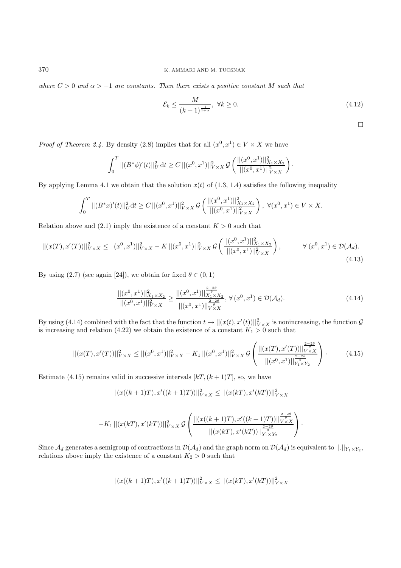where  $C > 0$  and  $\alpha > -1$  are constants. Then there exists a positive constant M such that

$$
\mathcal{E}_k \le \frac{M}{(k+1)^{\frac{1}{1+\alpha}}}, \ \forall k \ge 0. \tag{4.12}
$$

 $\Box$ 

*Proof of Theorem 2.4.* By density (2.8) implies that for all  $(x^0, x^1) \in V \times X$  we have

$$
\int_0^T ||(B^*\phi)'(t)||_U^2 dt \ge C ||(x^0, x^1)||_{V \times X}^2 \mathcal{G}\left(\frac{||(x^0, x^1)||_{X_1 \times X_2}^2}{||(x^0, x^1)||_{V \times X}^2}\right).
$$

By applying Lemma 4.1 we obtain that the solution  $x(t)$  of (1.3, 1.4) satisfies the following inequality

$$
\int_0^T ||(B^*x)'(t)||_{U}^2 dt \ge C ||(x^0, x^1)||_{V \times X}^2 \mathcal{G}\left(\frac{||(x^0, x^1)||_{X_1 \times X_2}^2}{||(x^0, x^1)||_{V \times X}^2}\right), \ \forall (x^0, x^1) \in V \times X.
$$

Relation above and  $(2.1)$  imply the existence of a constant  $K > 0$  such that

$$
||(x(T), x'(T))||_{V \times X}^2 \le ||(x^0, x^1)||_{V \times X}^2 - K ||(x^0, x^1)||_{V \times X}^2 \mathcal{G}\left(\frac{||(x^0, x^1)||_{X_1 \times X_2}^2}{||(x^0, x^1)||_{V \times X}^2}\right), \qquad \forall (x^0, x^1) \in \mathcal{D}(\mathcal{A}_d).
$$
\n(4.13)

By using (2.7) (see again [24]), we obtain for fixed  $\theta \in (0,1)$ 

$$
\frac{\|[(x^0, x^1)]\|_{X_1 \times X_2}^2}{\|[(x^0, x^1)]\|_{V \times X}^2} \ge \frac{\|[(x^0, x^1)]\|_{X_1 \times X_2}^{\frac{2-\theta}{\theta}}}{\|[(x^0, x^1)]\|_{V \times X}^{\frac{2-2\theta}{\theta}}}, \forall (x^0, x^1) \in \mathcal{D}(\mathcal{A}_d). \tag{4.14}
$$

By using (4.14) combined with the fact that the function  $t \to ||(x(t), x'(t))||^2_{V \times X}$  is nonincreasing, the function  $\mathcal{G}$ is increasing and relation (4.22) we obtain the existence of a constant  $K_1 > 0$  such that

$$
||(x(T), x'(T))||_{V\times X}^{2} \le ||(x^{0}, x^{1})||_{V\times X}^{2} - K_{1} ||(x^{0}, x^{1})||_{V\times X}^{2} \mathcal{G}\left(\frac{||(x(T), x'(T))||_{V\times X}^{\frac{2-2\theta}{\theta}}}{||(x^{0}, x^{1})||_{Y_{1}\times Y_{2}}^{\frac{2-2\theta}{\theta}}}\right).
$$
(4.15)

Estimate (4.15) remains valid in successive intervals  $[kT,(k+1)T]$ , so, we have

$$
|| (x((k+1)T), x'((k+1)T))||_{V \times X}^{2} \le || (x(kT), x'(kT))||_{V \times X}^{2}
$$

$$
-K_1||(x(kT),x'(kT))||^2_{V\times X} \mathcal{G}\left(\frac{||(x((k+1)T),x'((k+1)T))||^{\frac{2-2\theta}{\theta}}_{V\times X}}{||(x(kT),x'(kT))||^{\frac{2-2\theta}{\theta}}_{Y_1\times Y_2}}\right).
$$

Since  $\mathcal{A}_d$  generates a semigroup of contractions in  $\mathcal{D}(\mathcal{A}_d)$  and the graph norm on  $\mathcal{D}(\mathcal{A}_d)$  is equivalent to  $||.||_{Y_1 \times Y_2}$ , relations above imply the existence of a constant  $K_2 > 0$  such that

$$
||(x((k+1)T),x'((k+1)T))||_{V\times X}^{2} \leq ||(x(kT),x'(kT))||_{V\times X}^{2}
$$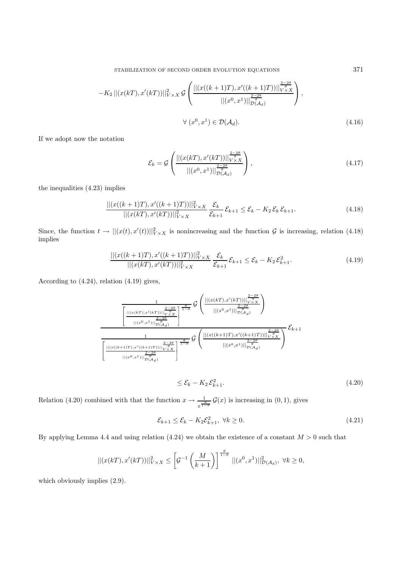$$
-K_2 ||(x(kT), x'(kT))||^2_{V \times X} \mathcal{G}\left(\frac{||(x((k+1)T), x'((k+1)T))||^{\frac{2-\theta}{\theta}}_{V \times X}}{||(x^0, x^1)||^{\frac{2-\theta}{\theta}}_{\mathcal{D}(A_d)}}\right),
$$
  

$$
\forall (x^0, x^1) \in \mathcal{D}(A_d).
$$
 (4.16)

If we adopt now the notation

$$
\mathcal{E}_k = \mathcal{G}\left(\frac{\| (x(kT), x'(kT))\|_{V \times X}^{\frac{2-2\theta}{\theta}}}{\| (x^0, x^1)\|_{\mathcal{D}(A_d)}^{\frac{2-2\theta}{\theta}}}\right),\tag{4.17}
$$

the inequalities (4.23) implies

$$
\frac{\| (x((k+1)T), x'((k+1)T)) \|_{V \times X}^2}{\| (x(kT), x'(kT)) \|_{V \times X}^2} \frac{\mathcal{E}_k}{\mathcal{E}_{k+1}} \mathcal{E}_{k+1} \le \mathcal{E}_k - K_2 \mathcal{E}_k \mathcal{E}_{k+1}.
$$
\n(4.18)

Since, the function  $t \to ||(x(t), x'(t))||^2_{V \times X}$  is nonincreasing and the function  $\mathcal G$  is increasing, relation (4.18) implies

$$
\frac{\| (x((k+1)T), x'((k+1)T)) \|_{V \times X}^2}{\| (x(kT), x'(kT)) \|_{V \times X}^2} \frac{\mathcal{E}_k}{\mathcal{E}_{k+1}} \mathcal{E}_{k+1} \le \mathcal{E}_k - K_2 \mathcal{E}_{k+1}^2. \tag{4.19}
$$

According to (4.24), relation (4.19) gives,

$$
\frac{\frac{1}{\left|\left|\left|\left|\left(x(k+1),x'(k+1)\right)\right|\right|\right| \frac{2-2\theta}{\theta}} \int \left(\frac{\left|\left|\left(x(k+1),x'(k+1)\right)\right|\right| \frac{2-2\theta}{\theta}}{\left|\left|(x^{0},x^{1})\right|\right| \frac{2-2\theta}{\rho(A_{d})}}\right)}{\left|\left|\left|(x^{0},x^{1})\right|\right| \frac{2-2\theta}{\rho(A_{d})}} \frac{\frac{2-2\theta}{\theta}}{\left|\left|(x^{0},x^{1})\right|\right| \frac{2-2\theta}{\rho(A_{d})}}\right)} \frac{\frac{2-2\theta}{\theta}}{\left|\left|\left|\left(x((k+1)T),x'((k+1)T)\right)\right|\right| \frac{2-2\theta}{\rho(A_{d})}}}{\left|\left|\left|(x^{0},x^{1})\right|\right| \frac{2-2\theta}{\rho(A_{d})}} \right)} \mathcal{E}_{k+1}
$$

$$
\leq \mathcal{E}_k - K_2 \mathcal{E}_{k+1}^2. \tag{4.20}
$$

Relation (4.20) combined with that the function  $x \to \frac{1}{x^{\frac{\theta}{1-\theta}}} \mathcal{G}(x)$  is increasing in (0, 1), gives

$$
\mathcal{E}_{k+1} \le \mathcal{E}_k - K_2 \mathcal{E}_{k+1}^2, \ \forall k \ge 0. \tag{4.21}
$$

By applying Lemma 4.4 and using relation (4.24) we obtain the existence of a constant  $M > 0$  such that

$$
||(x(kT), x'(kT))||_{V \times X}^2 \le \left[\mathcal{G}^{-1}\left(\frac{M}{k+1}\right)\right]^{\frac{\theta}{1-\theta}} ||(x^0, x^1)||_{\mathcal{D}(\mathcal{A}_d)}^2, \ \forall k \ge 0,
$$

which obviously implies  $(2.9)$ .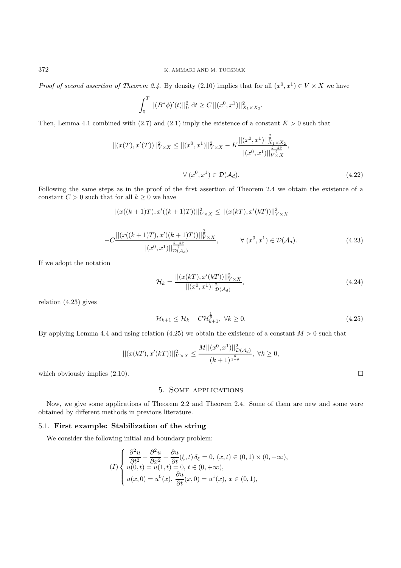Proof of second assertion of Theorem 2.4. By density (2.10) implies that for all  $(x^0, x^1) \in V \times X$  we have

$$
\int_0^T ||(B^*\phi)'(t)||_{U}^2 dt \ge C ||(x^0, x^1)||_{X_1 \times X_2}^2.
$$

Then, Lemma 4.1 combined with (2.7) and (2.1) imply the existence of a constant  $K > 0$  such that

$$
||(x(T), x'(T))||_{V \times X}^{2} \le ||(x^{0}, x^{1})||_{V \times X}^{2} - K \frac{||(x^{0}, x^{1})||_{X_{1} \times X_{2}}^{\frac{2-2\theta}{\theta}}}{||(x^{0}, x^{1})||_{V \times X}^{\frac{2-2\theta}{\theta}}},
$$
  

$$
\forall (x^{0}, x^{1}) \in \mathcal{D}(\mathcal{A}_{d}).
$$
 (4.22)

Following the same steps as in the proof of the first assertion of Theorem 2.4 we obtain the existence of a constant  $C > 0$  such that for all  $k \geq 0$  we have

$$
|| (x((k+1)T), x'((k+1)T))||_{V \times X}^{2} \le || (x(kT), x'(kT))||_{V \times X}^{2}
$$

$$
-C \frac{\| (x((k+1)T), x'((k+1)T)) \|_{V \times X}^{\frac{2-\theta}{\theta}}}{\| (x^0, x^1) \|_{D(A_d)}^{\frac{2-\theta}{\theta}}}, \qquad \forall (x^0, x^1) \in \mathcal{D}(\mathcal{A}_d). \tag{4.23}
$$

If we adopt the notation

$$
\mathcal{H}_k = \frac{|| (x(kT), x'(kT)) ||_{V \times X}^2}{|| (x^0, x^1) ||_{D(A_d)}^2},
$$
\n(4.24)

relation (4.23) gives

$$
\mathcal{H}_{k+1} \le \mathcal{H}_k - C \mathcal{H}_{k+1}^{\frac{1}{\theta}}, \ \forall k \ge 0. \tag{4.25}
$$

By applying Lemma 4.4 and using relation (4.25) we obtain the existence of a constant  $M > 0$  such that

$$
||(x(kT), x'(kT))||_{V \times X}^{2} \le \frac{M||(x^{0}, x^{1})||_{D(\mathcal{A}_{d})}^{2}}{(k+1)^{\frac{\theta}{1-\theta}}}, \ \forall k \ge 0,
$$

which obviously implies  $(2.10)$ .

## 5. Some applications

Now, we give some applications of Theorem 2.2 and Theorem 2.4. Some of them are new and some were obtained by different methods in previous literature.

### 5.1. **First example: Stabilization of the string**

We consider the following initial and boundary problem:

$$
(I) \begin{cases} \frac{\partial^2 u}{\partial t^2} - \frac{\partial^2 u}{\partial x^2} + \frac{\partial u}{\partial t}(\xi, t) \,\delta_{\xi} = 0, \ (x, t) \in (0, 1) \times (0, +\infty), \\ u(0, t) = u(1, t) = 0, \ t \in (0, +\infty), \\ u(x, 0) = u^0(x), \ \frac{\partial u}{\partial t}(x, 0) = u^1(x), \ x \in (0, 1), \end{cases}
$$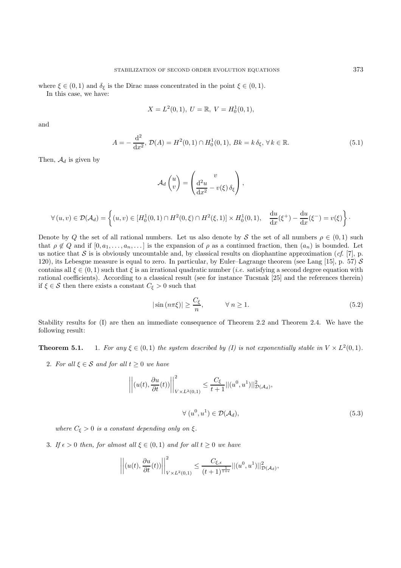where  $\xi \in (0,1)$  and  $\delta_{\xi}$  is the Dirac mass concentrated in the point  $\xi \in (0,1)$ . In this case, we have:

$$
X = L^{2}(0, 1), \ U = \mathbb{R}, \ V = H_{0}^{1}(0, 1),
$$

and

$$
A = -\frac{d^2}{dx^2}, \mathcal{D}(A) = H^2(0,1) \cap H_0^1(0,1), \, Bk = k \, \delta_\xi, \, \forall \, k \in \mathbb{R}.\tag{5.1}
$$

Then,  $\mathcal{A}_d$  is given by

$$
\mathcal{A}_d\begin{pmatrix}u\\v\end{pmatrix}=\begin{pmatrix}v\\ \frac{\mathrm{d}^2u}{\mathrm{d}x^2}-v(\xi)\,\delta_\xi\end{pmatrix},\,
$$

$$
\forall (u,v) \in \mathcal{D}(\mathcal{A}_d) = \left\{ (u,v) \in [H_0^1(0,1) \cap H^2(0,\xi) \cap H^2(\xi,1)] \times H_0^1(0,1), \quad \frac{\mathrm{d}u}{\mathrm{d}x}(\xi^+) - \frac{\mathrm{d}u}{\mathrm{d}x}(\xi^-) = v(\xi) \right\}.
$$

Denote by Q the set of all rational numbers. Let us also denote by S the set of all numbers  $\rho \in (0,1)$  such that  $\rho \notin Q$  and if  $[0, a_1, \ldots, a_n, \ldots]$  is the expansion of  $\rho$  as a continued fraction, then  $(a_n)$  is bounded. Let us notice that S is is obviously uncountable and, by classical results on diophantine approximation (cf. [7], p. 120), its Lebesgue measure is equal to zero. In particular, by Euler–Lagrange theorem (see Lang [15], p. 57)  $S$ contains all  $\xi \in (0,1)$  such that  $\xi$  is an irrational quadratic number (*i.e.* satisfying a second degree equation with rational coefficients). According to a classical result (see for instance Tucsnak [25] and the references therein) if  $\xi \in \mathcal{S}$  then there exists a constant  $C_{\xi} > 0$  such that

$$
|\sin\left(n\pi\xi\right)| \ge \frac{C_{\xi}}{n}, \qquad \forall \ n \ge 1. \tag{5.2}
$$

Stability results for (I) are then an immediate consequence of Theorem 2.2 and Theorem 2.4. We have the following result:

**Theorem 5.1.** 1. For any  $\xi \in (0,1)$  the system described by (I) is not exponentially stable in  $V \times L^2(0,1)$ .

2. For all  $\xi \in \mathcal{S}$  and for all  $t \geq 0$  we have

$$
\left\| (u(t), \frac{\partial u}{\partial t}(t)) \right\|_{V \times L^2(0,1)}^2 \le \frac{C_{\xi}}{t+1} ||(u^0, u^1)||^2_{\mathcal{D}(\mathcal{A}_d)},
$$
  

$$
\forall (u^0, u^1) \in \mathcal{D}(\mathcal{A}_d),
$$
 (5.3)

where  $C_{\xi} > 0$  is a constant depending only on  $\xi$ .

3. If  $\epsilon > 0$  then, for almost all  $\xi \in (0,1)$  and for all  $t \geq 0$  we have

$$
\left\| \left( u(t), \frac{\partial u}{\partial t}(t)) \right\|_{V \times L^2(0,1)}^2 \leq \frac{C_{\xi,\epsilon}}{(t+1)^{\frac{1}{1+\epsilon}}} ||(u^0, u^1)||^2_{\mathcal{D}(\mathcal{A}_d)},
$$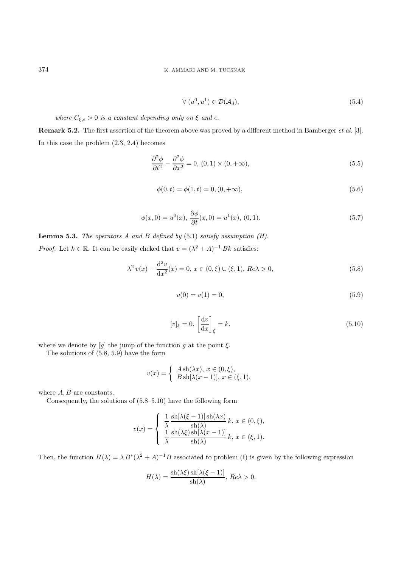$$
\forall (u^0, u^1) \in \mathcal{D}(\mathcal{A}_d), \tag{5.4}
$$

where  $C_{\xi,\epsilon} > 0$  is a constant depending only on  $\xi$  and  $\epsilon$ .

**Remark 5.2.** The first assertion of the theorem above was proved by a different method in Bamberger et al. [3]. In this case the problem (2.3, 2.4) becomes

$$
\frac{\partial^2 \phi}{\partial t^2} - \frac{\partial^2 \phi}{\partial x^2} = 0, (0, 1) \times (0, +\infty),
$$
\n(5.5)

$$
\phi(0,t) = \phi(1,t) = 0, (0, +\infty),\tag{5.6}
$$

$$
\phi(x,0) = u^{0}(x), \frac{\partial \phi}{\partial t}(x,0) = u^{1}(x), (0,1).
$$
\n(5.7)

**Lemma 5.3.** The operators  $A$  and  $B$  defined by  $(5.1)$  satisfy assumption  $(H)$ . *Proof.* Let  $k \in \mathbb{R}$ . It can be easily cheked that  $v = (\lambda^2 + A)^{-1} Bk$  satisfies:

$$
\lambda^2 v(x) - \frac{d^2 v}{dx^2}(x) = 0, \, x \in (0, \xi) \cup (\xi, 1), \, Re \lambda > 0,\tag{5.8}
$$

$$
v(0) = v(1) = 0,\t\t(5.9)
$$

$$
[v]_{\xi} = 0, \left[\frac{\mathrm{d}v}{\mathrm{d}x}\right]_{\xi} = k,\tag{5.10}
$$

where we denote by  $[g]$  the jump of the function g at the point  $\xi$ .

The solutions of (5.8, 5.9) have the form

$$
v(x) = \begin{cases} A \operatorname{sh}(\lambda x), x \in (0, \xi), \\ B \operatorname{sh}[\lambda(x-1)], x \in (\xi, 1), \end{cases}
$$

where  $A, B$  are constants.

Consequently, the solutions of (5.8–5.10) have the following form

$$
v(x) = \begin{cases} \frac{1}{\lambda} \frac{\operatorname{sh}[\lambda(\xi - 1)] \operatorname{sh}(\lambda x)}{\operatorname{sh}(\lambda)} k, \, x \in (0, \xi), \\ \frac{1}{\lambda} \frac{\operatorname{sh}(\lambda \xi) \operatorname{sh}[\lambda(x - 1)]}{\operatorname{sh}(\lambda)} k, \, x \in (\xi, 1). \end{cases}
$$

Then, the function  $H(\lambda) = \lambda B^*(\lambda^2 + A)^{-1}B$  associated to problem (I) is given by the following expression

$$
H(\lambda) = \frac{\operatorname{sh}(\lambda \xi) \operatorname{sh}[\lambda(\xi - 1)]}{\operatorname{sh}(\lambda)}, Re \lambda > 0.
$$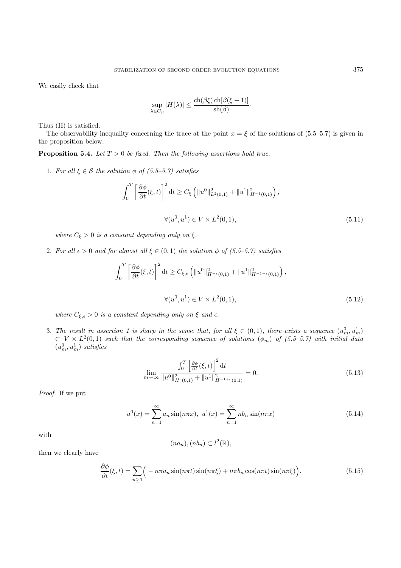We easily check that

$$
\sup_{\lambda \in C_{\beta}} |H(\lambda)| \leq \frac{\operatorname{ch}(\beta \xi) \operatorname{ch}[\beta(\xi - 1)]}{\operatorname{sh}(\beta)}.
$$

Thus (H) is satisfied.

The observability inequality concerning the trace at the point  $x = \xi$  of the solutions of (5.5–5.7) is given in the proposition below.

**Proposition 5.4.** Let  $T > 0$  be fixed. Then the following assertions hold true.

1. For all  $\xi \in \mathcal{S}$  the solution  $\phi$  of (5.5–5.7) satisfies

$$
\int_0^T \left[ \frac{\partial \phi}{\partial t} (\xi, t) \right]^2 dt \ge C_{\xi} \left( \|u^0\|_{L^2(0,1)}^2 + \|u^1\|_{H^{-1}(0,1)}^2 \right),
$$
  

$$
\forall (u^0, u^1) \in V \times L^2(0,1),
$$
 (5.11)

where  $C_{\xi} > 0$  is a constant depending only on  $\xi$ .

2. For all  $\epsilon > 0$  and for almost all  $\xi \in (0,1)$  the solution  $\phi$  of  $(5.5-5.7)$  satisfies

$$
\int_0^T \left[ \frac{\partial \phi}{\partial t}(\xi, t) \right]^2 dt \ge C_{\xi, \epsilon} \left( \|u^0\|_{H^{-\epsilon}(0, 1)}^2 + \|u^1\|_{H^{-1-\epsilon}(0, 1)}^2 \right),
$$
  

$$
\forall (u^0, u^1) \in V \times L^2(0, 1),
$$
 (5.12)

where  $C_{\xi,\epsilon} > 0$  is a constant depending only on  $\xi$  and  $\epsilon$ .

3. The result in assertion 1 is sharp in the sense that, for all  $\xi \in (0,1)$ , there exists a sequence  $(u_m^0, u_m^1)$  $\subset V \times L^2(0,1)$  such that the corresponding sequence of solutions  $(\phi_m)$  of  $(5.5-5.7)$  with initial data  $(u_m^0, u_m^1)$  satisfies

$$
\lim_{m \to \infty} \frac{\int_0^T \left[ \frac{\partial \phi}{\partial t} (\xi, t) \right]^2 dt}{\|u^0\|_{H^{\epsilon}(0, 1)}^2 + \|u^1\|_{H^{-1+\epsilon}(0, 1)}^2} = 0.
$$
\n(5.13)

Proof. If we put

$$
u^{0}(x) = \sum_{n=1}^{\infty} a_n \sin(n\pi x), \ u^{1}(x) = \sum_{n=1}^{\infty} nb_n \sin(n\pi x)
$$
 (5.14)

with

$$
(na_n),(nb_n)\subset l^2(\mathbb{R}),
$$

then we clearly have

$$
\frac{\partial \phi}{\partial t}(\xi, t) = \sum_{n \ge 1} \Big( -n\pi a_n \sin(n\pi t) \sin(n\pi \xi) + n\pi b_n \cos(n\pi t) \sin(n\pi \xi) \Big). \tag{5.15}
$$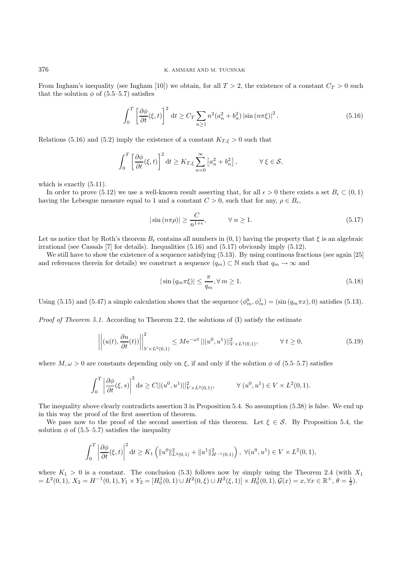From Ingham's inequality (see Ingham [10]) we obtain, for all  $T > 2$ , the existence of a constant  $C_T > 0$  such that the solution  $\phi$  of (5.5–5.7) satisfies

$$
\int_0^T \left[ \frac{\partial \phi}{\partial t}(\xi, t) \right]^2 dt \ge C_T \sum_{n \ge 1} n^2 (a_n^2 + b_n^2) \left| \sin \left( n \pi \xi \right) \right|^2. \tag{5.16}
$$

Relations (5.16) and (5.2) imply the existence of a constant  $K_{T,\xi} > 0$  such that

$$
\int_0^T \left[ \frac{\partial \phi}{\partial t}(\xi, t) \right]^2 dt \ge K_{T, \xi} \sum_{n=0}^\infty \left[ a_n^2 + b_n^2 \right], \qquad \forall \xi \in \mathcal{S},
$$

which is exactly  $(5.11)$ .

In order to prove (5.12) we use a well-known result asserting that, for all  $\epsilon > 0$  there exists a set  $B_{\epsilon} \subset (0,1)$ having the Lebesgue measure equal to 1 and a constant  $C > 0$ , such that for any,  $\rho \in B_{\epsilon}$ ,

$$
|\sin(n\pi\rho)| \ge \frac{C}{n^{1+\epsilon}}, \qquad \forall n \ge 1.
$$
\n(5.17)

Let us notice that by Roth's theorem  $B_{\epsilon}$  contains all numbers in  $(0, 1)$  having the property that  $\xi$  is an algebraic irrational (see Cassals [7] for details). Inequalities (5.16) and (5.17) obviously imply (5.12).

We still have to show the existence of a sequence satisfying (5.13). By using continous fractions (see again [25] and references therein for details) we construct a sequence  $(q_m) \subset \mathbb{N}$  such that  $q_m \to \infty$  and

$$
|\sin(q_m \pi \xi)| \le \frac{\pi}{q_m}, \forall m \ge 1.
$$
\n(5.18)

Using (5.15) and (5.47) a simple calculation shows that the sequence  $(\phi_m^0, \phi_m^1) = (\sin(q_m \pi x), 0)$  satisfies (5.13).

*Proof of Theorem 5.1.* According to Theorem 2.2, the solutions of  $(I)$  satisfy the estimate

$$
\left\| (u(t), \frac{\partial u}{\partial t}(t)) \right\|_{V \times L^2(0,1)}^2 \le M e^{-\omega t} \left\| (u^0, u^1) \right\|_{V \times L^2(0,1)}^2, \qquad \forall \ t \ge 0,
$$
\n(5.19)

where  $M, \omega > 0$  are constants depending only on  $\xi$ , if and only if the solution  $\phi$  of (5.5–5.7) satisfies

$$
\int_0^T \left| \frac{\partial \phi}{\partial t}(\xi, s) \right|^2 ds \ge C ||(u^0, u^1)||^2_{V \times L^2(0, 1)}, \qquad \forall (u^0, u^1) \in V \times L^2(0, 1).
$$

The inequality above clearly contradicts assertion 3 in Proposition 5.4. So assumption (5.38) is false. We end up in this way the proof of the first assertion of theorem.

We pass now to the proof of the second assertion of this theorem. Let  $\xi \in \mathcal{S}$ . By Proposition 5.4, the solution  $\phi$  of (5.5–5.7) satisfies the inequality

$$
\int_0^T \left| \frac{\partial \phi}{\partial t}(\xi, t) \right|^2 dt \ge K_1 \left( \|u^0\|_{L^2(0, 1)}^2 + \|u^1\|_{H^{-1}(0, 1)}^2 \right), \ \forall (u^0, u^1) \in V \times L^2(0, 1),
$$

where  $K_1 > 0$  is a constant. The conclusion (5.3) follows now by simply using the Theorem 2.4 (with  $X_1$ )  $= L^2(0, 1), X_2 = H^{-1}(0, 1), Y_1 \times Y_2 = [H_0^1(0, 1) \cup H^2(0, \xi) \cup H^2(\xi, 1)] \times H_0^1(0, 1), \mathcal{G}(x) = x, \forall x \in \mathbb{R}^+, \theta = \frac{1}{2}).$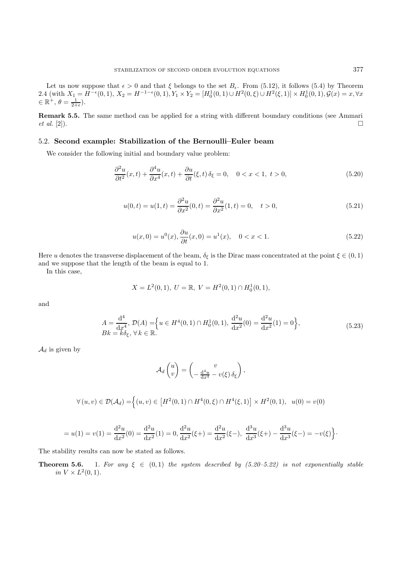Let us now suppose that  $\epsilon > 0$  and that  $\xi$  belongs to the set  $B_{\epsilon}$ . From (5.12), it follows (5.4) by Theorem 2.4 (with  $X_1 = H^{-\epsilon}(0, 1), X_2 = H^{-1-\epsilon}(0, 1), Y_1 \times Y_2 = [H_0^1(0, 1) \cup H^2(0, \xi) \cup H^2(\xi, 1)] \times H_0^1(0, 1), \mathcal{G}(x) = x, \forall x$  $\in \mathbb{R}^+, \theta = \frac{1}{2+\epsilon}.$ 

**Remark 5.5.** The same method can be applied for a string with different boundary conditions (see Ammari *et al.* [2]).

### 5.2. **Second example: Stabilization of the Bernoulli–Euler beam**

We consider the following initial and boundary value problem:

$$
\frac{\partial^2 u}{\partial t^2}(x,t) + \frac{\partial^4 u}{\partial x^4}(x,t) + \frac{\partial u}{\partial t}(\xi,t)\,\delta_\xi = 0, \quad 0 < x < 1, \ t > 0,\tag{5.20}
$$

$$
u(0,t) = u(1,t) = \frac{\partial^2 u}{\partial x^2}(0,t) = \frac{\partial^2 u}{\partial x^2}(1,t) = 0, \quad t > 0,
$$
\n(5.21)

$$
u(x,0) = u^{0}(x), \frac{\partial u}{\partial t}(x,0) = u^{1}(x), \quad 0 < x < 1. \tag{5.22}
$$

Here u denotes the transverse displacement of the beam,  $\delta_{\xi}$  is the Dirac mass concentrated at the point  $\xi \in (0,1)$ and we suppose that the length of the beam is equal to 1.

In this case,

$$
X = L^{2}(0, 1), \ U = \mathbb{R}, \ V = H^{2}(0, 1) \cap H_{0}^{1}(0, 1),
$$

and

$$
A = \frac{d^4}{dx^4}, \mathcal{D}(A) = \left\{ u \in H^4(0,1) \cap H_0^1(0,1), \frac{d^2u}{dx^2}(0) = \frac{d^2u}{dx^2}(1) = 0 \right\},\tag{5.23}
$$
  

$$
Bk = k\delta_{\xi}, \forall k \in \mathbb{R}.
$$

 $\mathcal{A}_d$  is given by

$$
\mathcal{A}_d\begin{pmatrix}u\\v\end{pmatrix}=\begin{pmatrix}v\\-\frac{\mathrm{d}^4u}{\mathrm{d}x^4}-v(\xi)\,\delta_{\xi}\end{pmatrix},\,
$$

$$
\forall (u, v) \in \mathcal{D}(\mathcal{A}_d) = \Big\{(u, v) \in \left[H^2(0, 1) \cap H^4(0, \xi) \cap H^4(\xi, 1)\right] \times H^2(0, 1), \ u(0) = v(0)\Big\}
$$

$$
=u(1)=v(1)=\frac{\mathrm{d}^{2}u}{\mathrm{d}x^{2}}(0)=\frac{\mathrm{d}^{2}u}{\mathrm{d}x^{2}}(1)=0, \frac{\mathrm{d}^{2}u}{\mathrm{d}x^{2}}(\xi+)=\frac{\mathrm{d}^{2}u}{\mathrm{d}x^{2}}(\xi-), \frac{\mathrm{d}^{3}u}{\mathrm{d}x^{3}}(\xi+)-\frac{\mathrm{d}^{3}u}{\mathrm{d}x^{3}}(\xi-)=-v(\xi)\Big\}.
$$

The stability results can now be stated as follows.

**Theorem 5.6.** 1. For any  $\xi \in (0,1)$  the system described by  $(5.20-5.22)$  is not exponentially stable in  $V \times L^2(0,1)$ .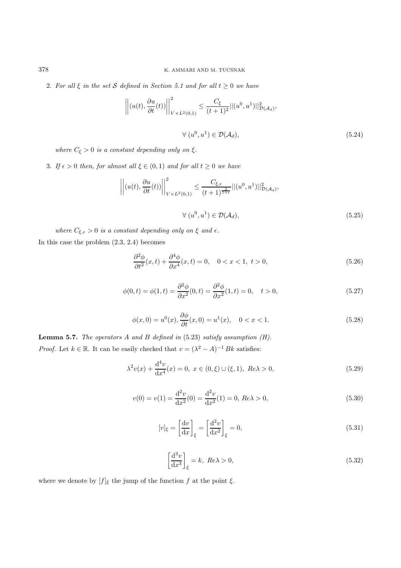2. For all  $\xi$  in the set S defined in Section 5.1 and for all  $t \geq 0$  we have

$$
\left\| \left( u(t), \frac{\partial u}{\partial t}(t) \right) \right\|_{V \times L^2(0,1)}^2 \le \frac{C_{\xi}}{(t+1)^2} ||(u^0, u^1)||^2_{\mathcal{D}(\mathcal{A}_d)},
$$
  

$$
\forall (u^0, u^1) \in \mathcal{D}(\mathcal{A}_d),
$$
 (5.24)

where  $C_{\xi} > 0$  is a constant depending only on  $\xi$ .

3. If  $\epsilon > 0$  then, for almost all  $\xi \in (0,1)$  and for all  $t \ge 0$  we have

$$
\left\| (u(t), \frac{\partial u}{\partial t}(t)) \right\|_{V \times L^2(0,1)}^2 \leq \frac{C_{\xi,\epsilon}}{(t+1)^{\frac{2}{1+\epsilon}}} ||(u^0, u^1)||^2_{\mathcal{D}(\mathcal{A}_d)},
$$
  

$$
\forall (u^0, u^1) \in \mathcal{D}(\mathcal{A}_d),
$$
 (5.25)

where  $C_{\xi,\epsilon} > 0$  is a constant depending only on  $\xi$  and  $\epsilon$ . In this case the problem (2.3, 2.4) becomes

$$
\frac{\partial^2 \phi}{\partial t^2}(x,t) + \frac{\partial^4 \phi}{\partial x^4}(x,t) = 0, \quad 0 < x < 1, \ t > 0,\tag{5.26}
$$

$$
\phi(0,t) = \phi(1,t) = \frac{\partial^2 \phi}{\partial x^2}(0,t) = \frac{\partial^2 \phi}{\partial x^2}(1,t) = 0, \quad t > 0,
$$
\n(5.27)

$$
\phi(x,0) = u^{0}(x), \frac{\partial \phi}{\partial t}(x,0) = u^{1}(x), \quad 0 < x < 1. \tag{5.28}
$$

**Lemma 5.7.** The operators A and B defined in (5.23) satisfy assumption (H). *Proof.* Let  $k \in \mathbb{R}$ . It can be easily checked that  $v = (\lambda^2 - A)^{-1} Bk$  satisfies:

$$
\lambda^2 v(x) + \frac{d^4 v}{dx^4}(x) = 0, \ x \in (0, \xi) \cup (\xi, 1), \ Re \lambda > 0,
$$
\n(5.29)

$$
v(0) = v(1) = \frac{d^2v}{dx^2}(0) = \frac{d^2v}{dx^2}(1) = 0, Re\lambda > 0,
$$
\n(5.30)

$$
[v]_{\xi} = \left[\frac{\mathrm{d}v}{\mathrm{d}x}\right]_{\xi} = \left[\frac{\mathrm{d}^2v}{\mathrm{d}x^2}\right]_{\xi} = 0,\tag{5.31}
$$

$$
\left[\frac{\mathrm{d}^3 v}{\mathrm{d}x^3}\right]_{\xi} = k, \ Re\lambda > 0,\tag{5.32}
$$

where we denote by  $[f]_\xi$  the jump of the function  $f$  at the point  $\xi.$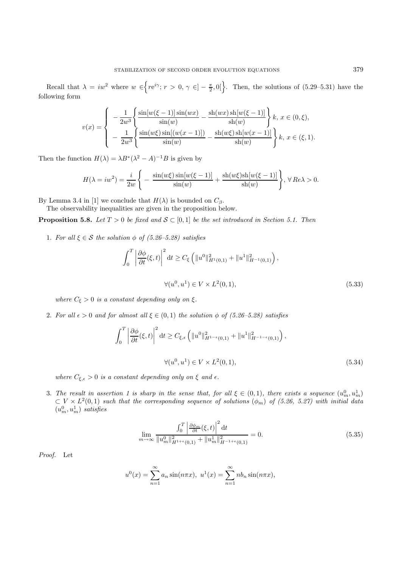Recall that  $\lambda = iw^2$  where  $w \in \left\{ re^{i\gamma}; r > 0, \gamma \in ]-\frac{\pi}{2},0[\right\}$ . Then, the solutions of (5.29–5.31) have the following form

$$
v(x) = \begin{cases} -\frac{1}{2w^3} \left\{ \frac{\sin[w(\xi-1)]\sin(wx)}{\sin(w)} - \frac{\sin(wx)\sin[w(\xi-1)]}{\sin(w)} \right\} k, \ x \in (0,\xi), \\ -\frac{1}{2w^3} \left\{ \frac{\sin(w\xi)\sin[(w(x-1)])}{\sin(w)} - \frac{\sin(w\xi)\sin[w(x-1)]}{\sin(w)} \right\} k, \ x \in (\xi,1). \end{cases}
$$

Then the function  $H(\lambda) = \lambda B^*(\lambda^2 - A)^{-1}B$  is given by

$$
H(\lambda = iw^2) = \frac{i}{2w} \left\{ -\frac{\sin(w\xi)\sin[w(\xi - 1)]}{\sin(w)} + \frac{\sin(w\xi)\sin[w(\xi - 1)]}{\sin(w)} \right\}, \forall Re \lambda > 0.
$$

By Lemma 3.4 in [1] we conclude that  $H(\lambda)$  is bounded on  $C_{\beta}$ .

The observability inequalities are given in the proposition below.

**Proposition 5.8.** Let  $T > 0$  be fixed and  $S \subset [0,1]$  be the set introduced in Section 5.1. Then

1. For all  $\xi \in \mathcal{S}$  the solution  $\phi$  of (5.26–5.28) satisfies

$$
\int_{0}^{T} \left| \frac{\partial \phi}{\partial t}(\xi, t) \right|^{2} dt \ge C_{\xi} \left( \|u^{0}\|_{H^{1}(0, 1)}^{2} + \|u^{1}\|_{H^{-1}(0, 1)}^{2} \right),
$$
  

$$
\forall (u^{0}, u^{1}) \in V \times L^{2}(0, 1),
$$
 (5.33)

where  $C_{\xi} > 0$  is a constant depending only on  $\xi$ .

2. For all  $\epsilon > 0$  and for almost all  $\xi \in (0,1)$  the solution  $\phi$  of (5.26–5.28) satisfies

$$
\int_0^T \left| \frac{\partial \phi}{\partial t}(\xi, t) \right|^2 dt \ge C_{\xi, \epsilon} \left( \|u^0\|_{H^{1-\epsilon}(0, 1)}^2 + \|u^1\|_{H^{-1-\epsilon}(0, 1)}^2 \right),
$$
  

$$
\forall (u^0, u^1) \in V \times L^2(0, 1),
$$
 (5.34)

where  $C_{\xi,\epsilon} > 0$  is a constant depending only on  $\xi$  and  $\epsilon$ .

3. The result in assertion 1 is sharp in the sense that, for all  $\xi \in (0,1)$ , there exists a sequence  $(u_m^0, u_m^1)$  $\subset V \times L^2(0,1)$  such that the corresponding sequence of solutions  $(\phi_m)$  of (5.26, 5.27) with initial data  $(u_m^0, u_m^1)$  satisfies

$$
\lim_{m \to \infty} \frac{\int_0^T \left| \frac{\partial \phi_m}{\partial t} (\xi, t) \right|^2 dt}{\|u_m^0\|_{H^{1+\epsilon}(0,1)}^2 + \|u_m^1\|_{H^{-1+\epsilon}(0,1)}^2} = 0.
$$
\n(5.35)

Proof. Let

$$
u^{0}(x) = \sum_{n=1}^{\infty} a_n \sin(n\pi x), \ u^{1}(x) = \sum_{n=1}^{\infty} nb_n \sin(n\pi x),
$$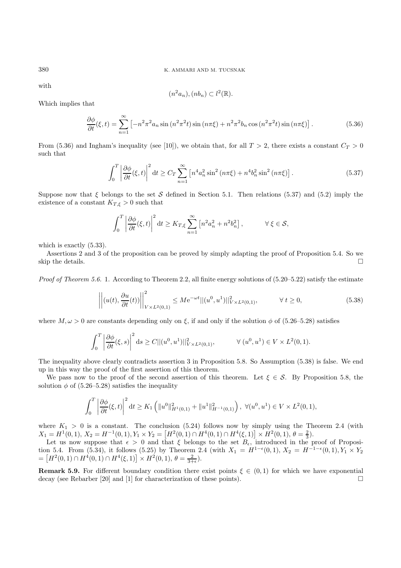with

$$
(n^2a_n),(nb_n)\subset l^2(\mathbb{R}).
$$

Which implies that

$$
\frac{\partial \phi}{\partial t}(\xi, t) = \sum_{n=1}^{\infty} \left[ -n^2 \pi^2 a_n \sin\left(n^2 \pi^2 t\right) \sin\left(n \pi \xi\right) + n^2 \pi^2 b_n \cos\left(n^2 \pi^2 t\right) \sin\left(n \pi \xi\right) \right].
$$
 (5.36)

From (5.36) and Ingham's inequality (see [10]), we obtain that, for all  $T > 2$ , there exists a constant  $C_T > 0$ such that

$$
\int_0^T \left| \frac{\partial \phi}{\partial t}(\xi, t) \right|^2 dt \ge C_T \sum_{n=1}^\infty \left[ n^4 a_n^2 \sin^2\left(n\pi\xi\right) + n^4 b_n^2 \sin^2\left(n\pi\xi\right) \right]. \tag{5.37}
$$

Suppose now that  $\xi$  belongs to the set S defined in Section 5.1. Then relations (5.37) and (5.2) imply the existence of a constant  $K_{T,\xi} > 0$  such that

$$
\int_0^T \left| \frac{\partial \phi}{\partial t}(\xi, t) \right|^2 dt \ge K_{T, \xi} \sum_{n=1}^\infty \left[ n^2 a_n^2 + n^2 b_n^2 \right], \qquad \forall \xi \in \mathcal{S},
$$

which is exactly  $(5.33)$ .

Assertions 2 and 3 of the proposition can be proved by simply adapting the proof of Proposition 5.4. So we skip the details.

*Proof of Theorem 5.6.* 1. According to Theorem 2.2, all finite energy solutions of  $(5.20-5.22)$  satisfy the estimate

$$
\left\| (u(t), \frac{\partial u}{\partial t}(t)) \right\|_{V \times L^2(0,1)}^2 \le M e^{-\omega t} ||(u^0, u^1)||_{V \times L^2(0,1)}^2, \qquad \forall \ t \ge 0,
$$
\n(5.38)

where  $M, \omega > 0$  are constants depending only on  $\xi$ , if and only if the solution  $\phi$  of (5.26–5.28) satisfies

$$
\int_0^T \left| \frac{\partial \phi}{\partial t}(\xi, s) \right|^2 ds \ge C ||(u^0, u^1)||^2_{V \times L^2(0, 1)}, \qquad \forall (u^0, u^1) \in V \times L^2(0, 1).
$$

The inequality above clearly contradicts assertion 3 in Proposition 5.8. So Assumption (5.38) is false. We end up in this way the proof of the first assertion of this theorem.

We pass now to the proof of the second assertion of this theorem. Let  $\xi \in \mathcal{S}$ . By Proposition 5.8, the solution  $\phi$  of (5.26–5.28) satisfies the inequality

$$
\int_0^T \left| \frac{\partial \phi}{\partial t}(\xi, t) \right|^2 dt \ge K_1 \left( \|u^0\|_{H^1(0, 1)}^2 + \|u^1\|_{H^{-1}(0, 1)}^2 \right), \ \forall (u^0, u^1) \in V \times L^2(0, 1),
$$

where  $K_1 > 0$  is a constant. The conclusion (5.24) follows now by simply using the Theorem 2.4 (with  $X_1 = H^1(0,1), X_2 = H^{-1}(0,1), Y_1 \times Y_2 = [H^2(0,1) \cap H^4(0,1) \cap H^4(\xi,1)] \times H^2(0,1), \theta = \frac{2}{3}).$ 

Let us now suppose that  $\epsilon > 0$  and that  $\xi$  belongs to the set  $B_{\epsilon}$ , introduced in the proof of Proposition 5.4. From (5.34), it follows (5.25) by Theorem 2.4 (with  $X_1 = H^{1-\epsilon}(0, 1), X_2 = H^{-1-\epsilon}(0, 1), Y_1 \times Y_2$ =  $[H^2(0,1) \cap H^4(0,1) \cap H^4(\xi,1)] \times H^2(0,1), \theta = \frac{2}{3+\epsilon}).$ 

**Remark 5.9.** For different boundary condition there exist points  $\xi \in (0,1)$  for which we have exponential decay (see Repartier [20] and [1] for characterization of these points) decay (see Rebarber [20] and [1] for characterization of these points).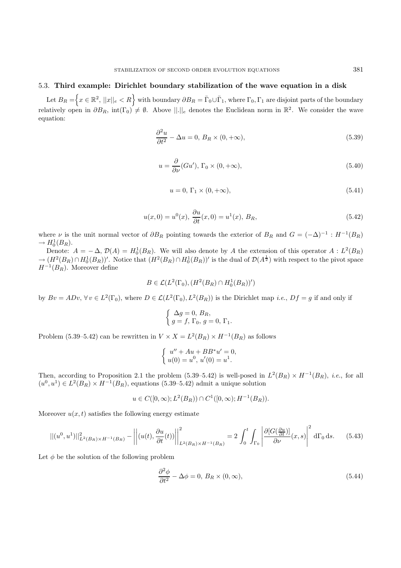#### 5.3. **Third example: Dirichlet boundary stabilization of the wave equation in a disk**

 $\text{Let } B_R = \Big\{ x \in \mathbb{R}^2, ||x||_e < R \Big\} \text{ with boundary } \partial B_R = \bar{\Gamma}_0 \cup \bar{\Gamma}_1 \text{, where } \Gamma_0, \Gamma_1 \text{ are disjoint parts of the boundary.}$ relatively open in  $\partial B_R$ , int(Γ<sub>0</sub>)  $\neq \emptyset$ . Above  $||.||_e$  denotes the Euclidean norm in  $\mathbb{R}^2$ . We consider the wave equation:

$$
\frac{\partial^2 u}{\partial t^2} - \Delta u = 0, B_R \times (0, +\infty),\tag{5.39}
$$

$$
u = \frac{\partial}{\partial \nu}(Gu'), \Gamma_0 \times (0, +\infty), \tag{5.40}
$$

$$
u = 0, \Gamma_1 \times (0, +\infty), \tag{5.41}
$$

$$
u(x,0) = u^{0}(x), \frac{\partial u}{\partial t}(x,0) = u^{1}(x), B_{R},
$$
\n(5.42)

where  $\nu$  is the unit normal vector of  $\partial B_R$  pointing towards the exterior of  $B_R$  and  $G = (-\Delta)^{-1} : H^{-1}(B_R)$  $\rightarrow H_0^1(B_R).$ 

Denote:  $A = -\Delta$ ,  $\mathcal{D}(A) = H_0^1(B_R)$ . We will also denote by A the extension of this operator  $A : L^2(B_R)$  $\rightarrow (H^2(B_R) \cap H_0^1(B_R))'$ . Notice that  $(H^2(B_R) \cap H_0^1(B_R))'$  is the dual of  $\mathcal{D}(A^{\frac{1}{2}})$  with respect to the pivot space  $H^{-1}(B_R)$ . Moreover define

$$
B \in \mathcal{L}(L^2(\Gamma_0), (H^2(B_R) \cap H_0^1(B_R))')
$$

by  $Bv = ADv$ ,  $\forall v \in L^2(\Gamma_0)$ , where  $D \in \mathcal{L}(L^2(\Gamma_0), L^2(B_R))$  is the Dirichlet map *i.e.*,  $Df = g$  if and only if

$$
\begin{cases} \Delta g = 0, B_R, \\ g = f, \Gamma_0, g = 0, \Gamma_1. \end{cases}
$$

Problem (5.39–5.42) can be rewritten in  $V \times X = L^2(B_R) \times H^{-1}(B_R)$  as follows

$$
\begin{cases}\n u'' + Au + BB^*u' = 0, \\
 u(0) = u^0, u'(0) = u^1.\n\end{cases}
$$

Then, according to Proposition 2.1 the problem (5.39–5.42) is well-posed in  $L^2(B_R) \times H^{-1}(B_R)$ , *i.e.*, for all  $(u^0, u^1) \in L^2(B_R) \times H^{-1}(B_R)$ , equations (5.39–5.42) admit a unique solution

$$
u \in C([0,\infty); L^2(B_R)) \cap C^1([0,\infty); H^{-1}(B_R)).
$$

Moreover  $u(x, t)$  satisfies the following energy estimate

$$
||(u^0, u^1)||^2_{L^2(B_R)\times H^{-1}(B_R)} - \left|\left|\left(u(t), \frac{\partial u}{\partial t}(t)\right)\right|\right|^2_{L^2(B_R)\times H^{-1}(B_R)} = 2\int_0^t \int_{\Gamma_0} \left|\frac{\partial [G(\frac{\partial u}{\partial t})]}{\partial \nu}(x, s)\right|^2 d\Gamma_0 ds. \tag{5.43}
$$

Let  $\phi$  be the solution of the following problem

$$
\frac{\partial^2 \phi}{\partial t^2} - \Delta \phi = 0, B_R \times (0, \infty), \tag{5.44}
$$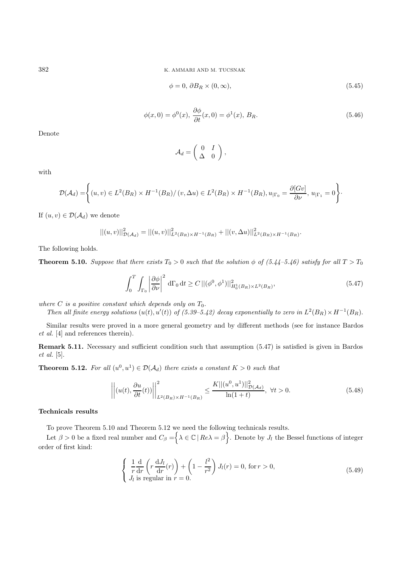382 K. AMMARI AND M. TUCSNAK

$$
\phi = 0, \, \partial B_R \times (0, \infty), \tag{5.45}
$$

$$
\phi(x,0) = \phi^0(x), \frac{\partial \phi}{\partial t}(x,0) = \phi^1(x), B_R.
$$
\n(5.46)

Denote

$$
\mathcal{A}_d = \left( \begin{array}{cc} 0 & I \\ \Delta & 0 \end{array} \right),
$$

with

$$
\mathcal{D}(\mathcal{A}_d) = \left\{ (u,v) \in L^2(B_R) \times H^{-1}(B_R) / (v,\Delta u) \in L^2(B_R) \times H^{-1}(B_R), u_{|\Gamma_0} = \frac{\partial [Gv]}{\partial \nu}, u_{|\Gamma_1} = 0 \right\}.
$$

If  $(u, v) \in \mathcal{D}(\mathcal{A}_d)$  we denote

$$
||(u,v)||_{\mathcal{D}(\mathcal{A}_d)}^2 = ||(u,v)||_{L^2(B_R)\times H^{-1}(B_R)}^2 + ||(v,\Delta u)||_{L^2(B_R)\times H^{-1}(B_R)}^2.
$$

The following holds.

**Theorem 5.10.** Suppose that there exists  $T_0 > 0$  such that the solution  $\phi$  of (5.44–5.46) satisfy for all  $T > T_0$ 

$$
\int_0^T \int_{\Gamma_0} \left| \frac{\partial \phi}{\partial \nu} \right|^2 d\Gamma_0 dt \ge C \left\| (\phi^0, \phi^1) \right\|_{H_0^1(B_R) \times L^2(B_R)}^2,
$$
\n(5.47)

where C is a positive constant which depends only on  $T_0$ .

Then all finite energy solutions  $(u(t), u'(t))$  of (5.39–5.42) decay exponentially to zero in  $L^2(B_R) \times H^{-1}(B_R)$ .

Similar results were proved in a more general geometry and by different methods (see for instance Bardos et al. [4] and references therein).

**Remark 5.11.** Necessary and sufficient condition such that assumption (5.47) is satisfied is given in Bardos et al. [5].

**Theorem 5.12.** For all  $(u^0, u^1) \in \mathcal{D}(\mathcal{A}_d)$  there exists a constant  $K > 0$  such that

$$
\left\| (u(t), \frac{\partial u}{\partial t}(t)) \right\|_{L^2(B_R) \times H^{-1}(B_R)}^2 \le \frac{K \| (u^0, u^1) \|_{\mathcal{D}(\mathcal{A}_d)}^2}{\ln(1+t)}, \ \forall t > 0. \tag{5.48}
$$

### **Technicals results**

To prove Theorem 5.10 and Theorem 5.12 we need the following technicals results.

Let  $\beta > 0$  be a fixed real number and  $C_{\beta} = \bigg\{\lambda \in \mathbb{C} \mid Re\lambda = \beta \bigg\}$ . Denote by  $J_l$  the Bessel functions of integer order of first kind:

$$
\begin{cases}\n\frac{1}{r}\frac{d}{dr}\left(r\frac{dJ_l}{dr}(r)\right) + \left(1 - \frac{l^2}{r^2}\right)J_l(r) = 0, \text{ for } r > 0, \\
J_l \text{ is regular in } r = 0.\n\end{cases}
$$
\n(5.49)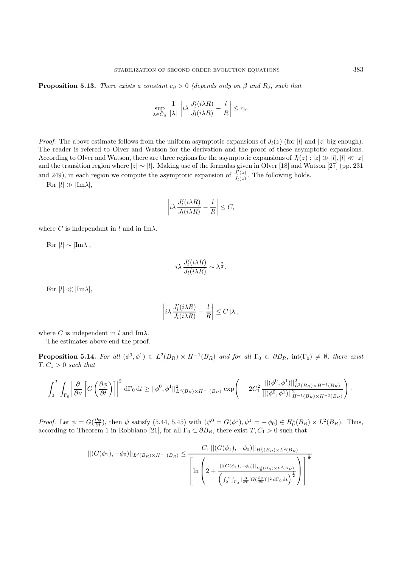**Proposition 5.13.** There exists a constant  $c_{\beta} > 0$  (depends only on  $\beta$  and R), such that

$$
\sup_{\lambda \in C_{\beta}} \frac{1}{|\lambda|} \left| i \lambda \frac{J'_{l}(i \lambda R)}{J_{l}(i \lambda R)} - \frac{l}{R} \right| \leq c_{\beta}.
$$

*Proof.* The above estimate follows from the uniform asymptotic expansions of  $J_l(z)$  (for |l| and |z| big enough). The reader is refered to Olver and Watson for the derivation and the proof of these asymptotic expansions. According to Olver and Watson, there are three regions for the asymptotic expansions of  $J_l(z) : |z| \gg |l|, |l| \ll |z|$ and the transition region where  $|z| \sim |l|$ . Making use of the formulas given in Olver [18] and Watson [27] (pp. 231 and 249), in each region we compute the asymptotic expansion of  $\frac{J_l'(z)}{J_l(z)}$ . The following holds.

For  $|l|\gg|\text{Im }\lambda|,$ 

$$
\left|i\lambda \frac{J_l'(i\lambda R)}{J_l(i\lambda R)} - \frac{l}{R}\right| \le C,
$$

where C is independant in l and in Im $\lambda$ .

For |l|∼|Imλ|,

$$
i\lambda \frac{J'_l(i\lambda R)}{J_l(i\lambda R)} \sim \lambda^{\frac{2}{3}}.
$$

For  $|l| \ll |\text{Im }\lambda|$ ,

$$
\left|i\lambda \frac{J_l'(i\lambda R)}{J_l(i\lambda R)} - \frac{l}{R}\right| \le C |\lambda|,
$$

where C is independent in l and Im $\lambda$ .

The estimates above end the proof.

**Proposition 5.14.** For all  $(\phi^0, \phi^1) \in L^2(B_R) \times H^{-1}(B_R)$  and for all  $\Gamma_0 \subset \partial B_R$ ,  $\text{int}(\Gamma_0) \neq \emptyset$ , there exist  $T, C_1 > 0$  such that

$$
\int_0^T \int_{\Gamma_0} \left| \frac{\partial}{\partial \nu} \left[ G \left( \frac{\partial \phi}{\partial t} \right) \right] \right|^2 d\Gamma_0 dt \geq ||\phi^0, \phi^1||^2_{L^2(B_R) \times H^{-1}(B_R)} exp \left( -2C_1^2 \frac{||(\phi^0, \phi^1)||^2_{L^2(B_R) \times H^{-1}(B_R)}}{||(\phi^0, \phi^1)||^2_{H^{-1}(B_R) \times H^{-2}(B_R)}} \right).
$$

Proof. Let  $\psi = G(\frac{\partial \phi}{\partial t})$ , then  $\psi$  satisfy (5.44, 5.45) with  $(\psi^0 = G(\phi^1), \psi^1 = -\phi_0) \in H_0^1(B_R) \times L^2(B_R)$ . Thus, according to Theorem 1 in Robbiano [21], for all  $\Gamma_0 \subset \partial B_R$ , there exist  $T, C_1 > 0$  such that

$$
||(G(\phi_1), -\phi_0)||_{L^2(B_R)\times H^{-1}(B_R)} \leq \frac{C_1 ||(G(\phi_1), -\phi_0)||_{H_0^1(B_R)\times L^2(B_R)}}{\left[\ln\left(2 + \frac{||(G(\phi_1), -\phi_0)||_{H_0^1(B_R)\times L^2(B_R)}}{\left(\int_0^T \int_{\Gamma_0} |\frac{\partial}{\partial \nu} [G(\frac{\partial \phi}{\partial t})]|^2 d\Gamma_0 dt\right)^{\frac{1}{2}}}\right)\right]^{\frac{1}{2}}}.
$$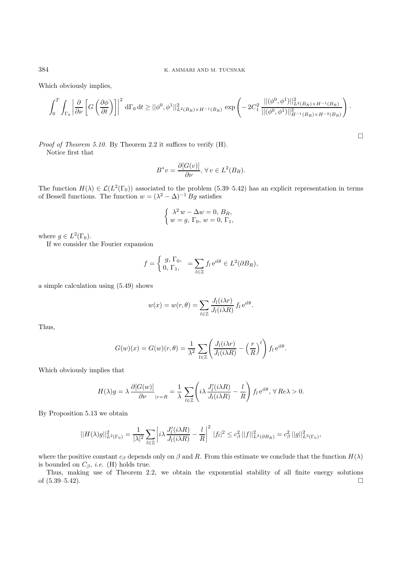Which obviously implies,

$$
\int_0^T \int_{\Gamma_0} \left| \frac{\partial}{\partial \nu} \left[ G \left( \frac{\partial \phi}{\partial t} \right) \right] \right|^2 d\Gamma_0 dt \ge ||\phi^0, \phi^1||^2_{L^2(B_R) \times H^{-1}(B_R)} \exp \left( -2C_1^2 \frac{||(\phi^0, \phi^1)||^2_{L^2(B_R) \times H^{-1}(B_R)}}{||(\phi^0, \phi^1)||^2_{H^{-1}(B_R) \times H^{-2}(B_R)}} \right).
$$

 $\Box$ 

Proof of Theorem 5.10. By Theorem 2.2 it suffices to verify (H). Notice first that

$$
B^*v = \frac{\partial [G(v)]}{\partial \nu}, \,\forall v \in L^2(B_R).
$$

The function  $H(\lambda) \in \mathcal{L}(L^2(\Gamma_0))$  associated to the problem (5.39–5.42) has an explicit representation in terms of Bessell functions. The function  $w = (\lambda^2 - \Delta)^{-1} Bg$  satisfies

$$
\begin{cases}\n\lambda^2 w - \Delta w = 0, B_R, \\
w = g, \Gamma_0, w = 0, \Gamma_1,\n\end{cases}
$$

where  $q \in L^2(\Gamma_0)$ .

If we consider the Fourier expansion

$$
f = \begin{cases} g, \Gamma_0, \\ 0, \Gamma_1, \end{cases} = \sum_{l \in \mathbb{Z}} f_l e^{il\theta} \in L^2(\partial B_R),
$$

a simple calculation using (5.49) shows

$$
w(x) = w(r, \theta) = \sum_{l \in \mathbb{Z}} \frac{J_l(i\lambda r)}{J_l(i\lambda R)} f_l e^{il\theta}.
$$

Thus,

$$
G(w)(x) = G(w)(r,\theta) = \frac{1}{\lambda^2} \sum_{l \in \mathbb{Z}} \left( \frac{J_l(i\lambda r)}{J_l(i\lambda R)} - \left(\frac{r}{R}\right)^l \right) f_l e^{il\theta}.
$$

Which obviously implies that

$$
H(\lambda)g = \lambda \frac{\partial [G(w)]}{\partial \nu}_{\vert r=R} = \frac{1}{\lambda} \sum_{l \in \mathbb{Z}} \left( i \lambda \frac{J_l'(i \lambda R)}{J_l(i \lambda R)} - \frac{l}{R} \right) f_l e^{il\theta}, \forall Re \lambda > 0.
$$

By Proposition 5.13 we obtain

$$
||H(\lambda)g||^2_{L^2(\Gamma_0)} = \frac{1}{|\lambda|^2} \sum_{l \in \mathbb{Z}} \left| i \lambda \frac{J_l'(i \lambda R)}{J_l(i \lambda R)} - \frac{l}{R} \right|^2 \, |f_l|^2 \leq c_\beta^2 \, ||f||^2_{L^2(\partial B_R)} = c_\beta^2 \, ||g||^2_{L^2(\Gamma_0)},
$$

where the positive constant  $c_\beta$  depends only on  $\beta$  and R. From this estimate we conclude that the function  $H(\lambda)$ is bounded on  $C_{\beta}$ , *i.e.* (H) holds true.

Thus, making use of Theorem 2.2, we obtain the exponential stability of all finite energy solutions of  $(5.39-5.42)$ .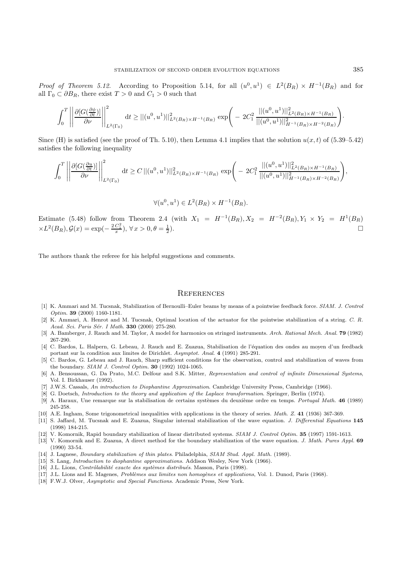Proof of Theorem 5.12. According to Proposition 5.14, for all  $(u^0, u^1) \in L^2(B_R) \times H^{-1}(B_R)$  and for all  $\Gamma_0 \subset \partial B_R$ , there exist  $T > 0$  and  $C_1 > 0$  such that

$$
\int_0^T \left| \left| \frac{\partial [G(\frac{\partial \phi}{\partial t})]}{\partial \nu} \right| \right|_{L^2(\Gamma_0)}^2 dt \ge ||(u^0, u^1)||^2_{L^2(B_R) \times H^{-1}(B_R)} \exp \left( -2C_1^2 \frac{||(u^0, u^1)||^2_{L^2(B_R) \times H^{-1}(B_R)}}{||(u^0, u^1)||^2_{H^{-1}(B_R) \times H^{-2}(B_R)}} \right)
$$

Since (H) is satisfied (see the proof of Th. 5.10), then Lemma 4.1 implies that the solution  $u(x, t)$  of (5.39–5.42) satisfies the following inequality

$$
\int_0^T \left| \left| \frac{\partial [G(\frac{\partial u}{\partial t})]}{\partial \nu} \right| \right|^2_{L^2(\Gamma_0)} dt \ge C \left| |(u^0, u^1)| \right|^2_{L^2(B_R) \times H^{-1}(B_R)} \exp \left( -2C_1^2 \frac{||(u^0, u^1)||^2_{L^2(B_R) \times H^{-1}(B_R)}}{||(u^0, u^1)||^2_{H^{-1}(B_R) \times H^{-2}(B_R)}} \right),
$$

$$
\forall (u^0, u^1) \in L^2(B_R) \times H^{-1}(B_R).
$$

Estimate (5.48) follow from Theorem 2.4 (with  $X_1 = H^{-1}(B_R), X_2 = H^{-2}(B_R), Y_1 \times Y_2 = H^{1}(B_R)$  $\times L^2(B_R), \mathcal{G}(x) = \exp(-\frac{2C_1^2}{x}), \forall x > 0, \theta = \frac{1}{2}$  $\frac{1}{2}$ ).

The authors thank the referee for his helpful suggestions and comments.

#### **REFERENCES**

- [1] K. Ammari and M. Tucsnak, Stabilization of Bernoulli–Euler beams by means of a pointwise feedback force. SIAM. J. Control Optim. **39** (2000) 1160-1181.
- [2] K. Ammari, A. Henrot and M. Tucsnak, Optimal location of the actuator for the pointwise stabilization of a string. C. R. Acad. Sci. Paris Sér. I Math. **330** (2000) 275-280.
- [3] A. Bamberger, J. Rauch and M. Taylor, A model for harmonics on stringed instruments. Arch. Rational Mech. Anal. **79** (1982) 267-290.
- [4] C. Bardos, L. Halpern, G. Lebeau, J. Rauch and E. Zuazua, Stabilisation de l'équation des ondes au moyen d'un feedback portant sur la condition aux limites de Dirichlet. Asymptot. Anal. **4** (1991) 285-291.
- [5] C. Bardos, G. Lebeau and J. Rauch, Sharp sufficient conditions for the observation, control and stabilization of waves from the boundary. SIAM J. Control Optim. **30** (1992) 1024-1065.
- [6] A. Bensoussan, G. Da Prato, M.C. Delfour and S.K. Mitter, Representation and control of infinite Dimensional Systems, Vol. I. Birkhauser (1992).
- [7] J.W.S. Cassals, An introduction to Diophantine Approximation. Cambridge University Press, Cambridge (1966).
- [8] G. Doetsch, Introduction to the theory and application of the Laplace transformation. Springer, Berlin (1974).
- [9] A. Haraux, Une remarque sur la stabilisation de certains syst`emes du deuxi`eme ordre en temps. Portugal Math. **46** (1989) 245-258.
- [10] A.E. Ingham, Some trigonometrical inequalities with applications in the theory of series. Math. Z. **41** (1936) 367-369.
- [11] S. Jaffard, M. Tucsnak and E. Zuazua, Singular internal stabilization of the wave equation. J. Differential Equations **145** (1998) 184-215.
- [12] V. Komornik, Rapid boundary stabilization of linear distributed systems. SIAM J. Control Optim. **35** (1997) 1591-1613.
- [13] V. Komornik and E. Zuazua, A direct method for the boundary stabilization of the wave equation. J. Math. Pures Appl. **69** (1990) 33-54.
- [14] J. Lagnese, Boundary stabilization of thin plates. Philadelphia, SIAM Stud. Appl. Math. (1989).
- [15] S. Lang, Introduction to diophantine approximations. Addison Wesley, New York (1966).
- [16] J.L. Lions, Contrôlabilité exacte des systèmes distribués. Masson, Paris (1998).
- [17] J.L. Lions and E. Magenes, Problèmes aux limites non homogènes et applications, Vol. 1. Dunod, Paris (1968).
- [18] F.W.J. Olver, Asymptotic and Special Functions. Academic Press, New York.

·